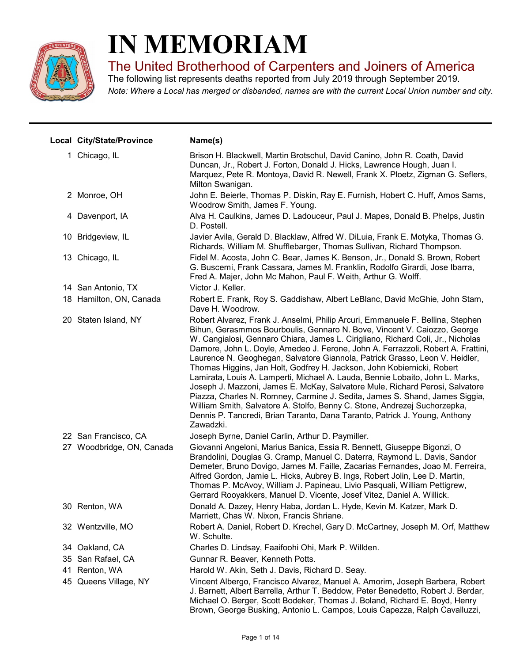

# IN MEMORIAM

The United Brotherhood of Carpenters and Joiners of America

Note: Where a Local has merged or disbanded, names are with the current Local Union number and city. The following list represents deaths reported from July 2019 through September 2019.

| Local City/State/Province | Name(s)                                                                                                                                                                                                                                                                                                                                                                                                                                                                                                                                                                                                                                                                                                                                                                                                                                                                                                            |
|---------------------------|--------------------------------------------------------------------------------------------------------------------------------------------------------------------------------------------------------------------------------------------------------------------------------------------------------------------------------------------------------------------------------------------------------------------------------------------------------------------------------------------------------------------------------------------------------------------------------------------------------------------------------------------------------------------------------------------------------------------------------------------------------------------------------------------------------------------------------------------------------------------------------------------------------------------|
| 1 Chicago, IL             | Brison H. Blackwell, Martin Brotschul, David Canino, John R. Coath, David<br>Duncan, Jr., Robert J. Forton, Donald J. Hicks, Lawrence Hough, Juan I.<br>Marquez, Pete R. Montoya, David R. Newell, Frank X. Ploetz, Zigman G. Seflers,<br>Milton Swanigan.                                                                                                                                                                                                                                                                                                                                                                                                                                                                                                                                                                                                                                                         |
| 2 Monroe, OH              | John E. Beierle, Thomas P. Diskin, Ray E. Furnish, Hobert C. Huff, Amos Sams,<br>Woodrow Smith, James F. Young.                                                                                                                                                                                                                                                                                                                                                                                                                                                                                                                                                                                                                                                                                                                                                                                                    |
| 4 Davenport, IA           | Alva H. Caulkins, James D. Ladouceur, Paul J. Mapes, Donald B. Phelps, Justin<br>D. Postell.                                                                                                                                                                                                                                                                                                                                                                                                                                                                                                                                                                                                                                                                                                                                                                                                                       |
| 10 Bridgeview, IL         | Javier Avila, Gerald D. Blacklaw, Alfred W. DiLuia, Frank E. Motyka, Thomas G.<br>Richards, William M. Shufflebarger, Thomas Sullivan, Richard Thompson.                                                                                                                                                                                                                                                                                                                                                                                                                                                                                                                                                                                                                                                                                                                                                           |
| 13 Chicago, IL            | Fidel M. Acosta, John C. Bear, James K. Benson, Jr., Donald S. Brown, Robert<br>G. Buscemi, Frank Cassara, James M. Franklin, Rodolfo Girardi, Jose Ibarra,<br>Fred A. Majer, John Mc Mahon, Paul F. Weith, Arthur G. Wolff.                                                                                                                                                                                                                                                                                                                                                                                                                                                                                                                                                                                                                                                                                       |
| 14 San Antonio, TX        | Victor J. Keller.                                                                                                                                                                                                                                                                                                                                                                                                                                                                                                                                                                                                                                                                                                                                                                                                                                                                                                  |
| 18 Hamilton, ON, Canada   | Robert E. Frank, Roy S. Gaddishaw, Albert LeBlanc, David McGhie, John Stam,<br>Dave H. Woodrow.                                                                                                                                                                                                                                                                                                                                                                                                                                                                                                                                                                                                                                                                                                                                                                                                                    |
| 20 Staten Island, NY      | Robert Alvarez, Frank J. Anselmi, Philip Arcuri, Emmanuele F. Bellina, Stephen<br>Bihun, Gerasmmos Bourboulis, Gennaro N. Bove, Vincent V. Caiozzo, George<br>W. Cangialosi, Gennaro Chiara, James L. Cirigliano, Richard Coli, Jr., Nicholas<br>Damore, John L. Doyle, Amedeo J. Ferone, John A. Ferrazzoli, Robert A. Frattini,<br>Laurence N. Geoghegan, Salvatore Giannola, Patrick Grasso, Leon V. Heidler,<br>Thomas Higgins, Jan Holt, Godfrey H. Jackson, John Kobiernicki, Robert<br>Lamirata, Louis A. Lamperti, Michael A. Lauda, Bennie Lobaito, John L. Marks,<br>Joseph J. Mazzoni, James E. McKay, Salvatore Mule, Richard Perosi, Salvatore<br>Piazza, Charles N. Romney, Carmine J. Sedita, James S. Shand, James Siggia,<br>William Smith, Salvatore A. Stolfo, Benny C. Stone, Andrezej Suchorzepka,<br>Dennis P. Tancredi, Brian Taranto, Dana Taranto, Patrick J. Young, Anthony<br>Zawadzki. |
| 22 San Francisco, CA      | Joseph Byrne, Daniel Carlin, Arthur D. Paymiller.                                                                                                                                                                                                                                                                                                                                                                                                                                                                                                                                                                                                                                                                                                                                                                                                                                                                  |
| 27 Woodbridge, ON, Canada | Giovanni Angeloni, Marius Banica, Essia R. Bennett, Giuseppe Bigonzi, O<br>Brandolini, Douglas G. Cramp, Manuel C. Daterra, Raymond L. Davis, Sandor<br>Demeter, Bruno Dovigo, James M. Faille, Zacarias Fernandes, Joao M. Ferreira,<br>Alfred Gordon, Jamie L. Hicks, Aubrey B. Ings, Robert Jolin, Lee D. Martin,<br>Thomas P. McAvoy, William J. Papineau, Livio Pasquali, William Pettigrew,<br>Gerrard Rooyakkers, Manuel D. Vicente, Josef Vitez, Daniel A. Willick.                                                                                                                                                                                                                                                                                                                                                                                                                                        |
| 30 Renton, WA             | Donald A. Dazey, Henry Haba, Jordan L. Hyde, Kevin M. Katzer, Mark D.<br>Marriett, Chas W. Nixon, Francis Shriane.                                                                                                                                                                                                                                                                                                                                                                                                                                                                                                                                                                                                                                                                                                                                                                                                 |
| 32 Wentzville, MO         | Robert A. Daniel, Robert D. Krechel, Gary D. McCartney, Joseph M. Orf, Matthew<br>W. Schulte.                                                                                                                                                                                                                                                                                                                                                                                                                                                                                                                                                                                                                                                                                                                                                                                                                      |
| 34 Oakland, CA            | Charles D. Lindsay, Faaifoohi Ohi, Mark P. Willden.                                                                                                                                                                                                                                                                                                                                                                                                                                                                                                                                                                                                                                                                                                                                                                                                                                                                |
| 35 San Rafael, CA         | Gunnar R. Beaver, Kenneth Potts.                                                                                                                                                                                                                                                                                                                                                                                                                                                                                                                                                                                                                                                                                                                                                                                                                                                                                   |
| 41 Renton, WA             | Harold W. Akin, Seth J. Davis, Richard D. Seay.                                                                                                                                                                                                                                                                                                                                                                                                                                                                                                                                                                                                                                                                                                                                                                                                                                                                    |
| 45 Queens Village, NY     | Vincent Albergo, Francisco Alvarez, Manuel A. Amorim, Joseph Barbera, Robert<br>J. Barnett, Albert Barrella, Arthur T. Beddow, Peter Benedetto, Robert J. Berdar,<br>Michael O. Berger, Scott Bodeker, Thomas J. Boland, Richard E. Boyd, Henry<br>Brown, George Busking, Antonio L. Campos, Louis Capezza, Ralph Cavalluzzi,                                                                                                                                                                                                                                                                                                                                                                                                                                                                                                                                                                                      |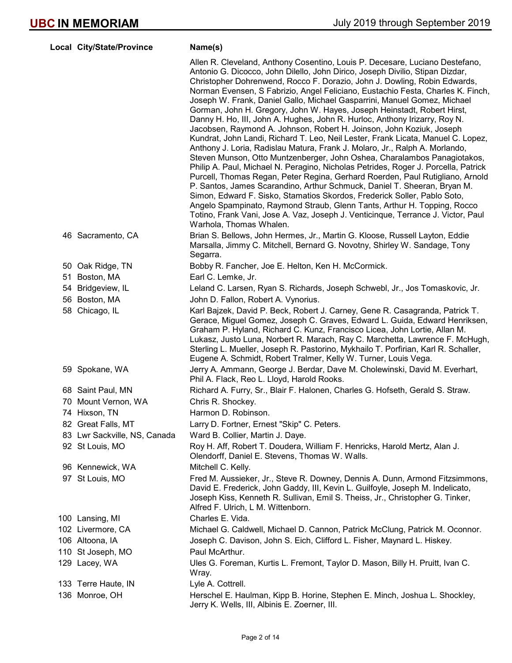| Local City/State/Province    | Name(s)                                                                                                                                                                                                                                                                                                                                                                                                                                                                                                                                                                                                                                                                                                                                                                                                                                                                                                                                                                                                                                                                                                                                                                                                                                                                                                                                                                                                             |
|------------------------------|---------------------------------------------------------------------------------------------------------------------------------------------------------------------------------------------------------------------------------------------------------------------------------------------------------------------------------------------------------------------------------------------------------------------------------------------------------------------------------------------------------------------------------------------------------------------------------------------------------------------------------------------------------------------------------------------------------------------------------------------------------------------------------------------------------------------------------------------------------------------------------------------------------------------------------------------------------------------------------------------------------------------------------------------------------------------------------------------------------------------------------------------------------------------------------------------------------------------------------------------------------------------------------------------------------------------------------------------------------------------------------------------------------------------|
|                              | Allen R. Cleveland, Anthony Cosentino, Louis P. Decesare, Luciano Destefano,<br>Antonio G. Dicocco, John Dilello, John Dirico, Joseph Divilio, Stipan Dizdar,<br>Christopher Dohrenwend, Rocco F. Dorazio, John J. Dowling, Robin Edwards,<br>Norman Evensen, S Fabrizio, Angel Feliciano, Eustachio Festa, Charles K. Finch,<br>Joseph W. Frank, Daniel Gallo, Michael Gasparrini, Manuel Gomez, Michael<br>Gorman, John H. Gregory, John W. Hayes, Joseph Heinstadt, Robert Hirst,<br>Danny H. Ho, III, John A. Hughes, John R. Hurloc, Anthony Irizarry, Roy N.<br>Jacobsen, Raymond A. Johnson, Robert H. Joinson, John Koziuk, Joseph<br>Kundrat, John Landi, Richard T. Leo, Neil Lester, Frank Licata, Manuel C. Lopez,<br>Anthony J. Loria, Radislau Matura, Frank J. Molaro, Jr., Ralph A. Morlando,<br>Steven Munson, Otto Muntzenberger, John Oshea, Charalambos Panagiotakos,<br>Philip A. Paul, Michael N. Peragino, Nicholas Petrides, Roger J. Porcella, Patrick<br>Purcell, Thomas Regan, Peter Regina, Gerhard Roerden, Paul Rutigliano, Arnold<br>P. Santos, James Scarandino, Arthur Schmuck, Daniel T. Sheeran, Bryan M.<br>Simon, Edward F. Sisko, Stamatios Skordos, Frederick Soller, Pablo Soto,<br>Angelo Spampinato, Raymond Straub, Glenn Tants, Arthur H. Topping, Rocco<br>Totino, Frank Vani, Jose A. Vaz, Joseph J. Venticinque, Terrance J. Victor, Paul<br>Warhola, Thomas Whalen. |
| 46 Sacramento, CA            | Brian S. Bellows, John Hermes, Jr., Martin G. Kloose, Russell Layton, Eddie<br>Marsalla, Jimmy C. Mitchell, Bernard G. Novotny, Shirley W. Sandage, Tony<br>Segarra.                                                                                                                                                                                                                                                                                                                                                                                                                                                                                                                                                                                                                                                                                                                                                                                                                                                                                                                                                                                                                                                                                                                                                                                                                                                |
| 50 Oak Ridge, TN             | Bobby R. Fancher, Joe E. Helton, Ken H. McCormick.                                                                                                                                                                                                                                                                                                                                                                                                                                                                                                                                                                                                                                                                                                                                                                                                                                                                                                                                                                                                                                                                                                                                                                                                                                                                                                                                                                  |
| 51 Boston, MA                | Earl C. Lemke, Jr.                                                                                                                                                                                                                                                                                                                                                                                                                                                                                                                                                                                                                                                                                                                                                                                                                                                                                                                                                                                                                                                                                                                                                                                                                                                                                                                                                                                                  |
| 54 Bridgeview, IL            | Leland C. Larsen, Ryan S. Richards, Joseph Schwebl, Jr., Jos Tomaskovic, Jr.                                                                                                                                                                                                                                                                                                                                                                                                                                                                                                                                                                                                                                                                                                                                                                                                                                                                                                                                                                                                                                                                                                                                                                                                                                                                                                                                        |
| 56 Boston, MA                | John D. Fallon, Robert A. Vynorius.                                                                                                                                                                                                                                                                                                                                                                                                                                                                                                                                                                                                                                                                                                                                                                                                                                                                                                                                                                                                                                                                                                                                                                                                                                                                                                                                                                                 |
| 58 Chicago, IL               | Karl Bajzek, David P. Beck, Robert J. Carney, Gene R. Casagranda, Patrick T.<br>Gerace, Miguel Gomez, Joseph C. Graves, Edward L. Guida, Edward Henriksen,<br>Graham P. Hyland, Richard C. Kunz, Francisco Licea, John Lortie, Allan M.<br>Lukasz, Justo Luna, Norbert R. Marach, Ray C. Marchetta, Lawrence F. McHugh,<br>Sterling L. Mueller, Joseph R. Pastorino, Mykhailo T. Porfirian, Karl R. Schaller,<br>Eugene A. Schmidt, Robert Tralmer, Kelly W. Turner, Louis Vega.                                                                                                                                                                                                                                                                                                                                                                                                                                                                                                                                                                                                                                                                                                                                                                                                                                                                                                                                    |
| 59 Spokane, WA               | Jerry A. Ammann, George J. Berdar, Dave M. Cholewinski, David M. Everhart,<br>Phil A. Flack, Reo L. Lloyd, Harold Rooks.                                                                                                                                                                                                                                                                                                                                                                                                                                                                                                                                                                                                                                                                                                                                                                                                                                                                                                                                                                                                                                                                                                                                                                                                                                                                                            |
| 68 Saint Paul, MN            | Richard A. Furry, Sr., Blair F. Halonen, Charles G. Hofseth, Gerald S. Straw.                                                                                                                                                                                                                                                                                                                                                                                                                                                                                                                                                                                                                                                                                                                                                                                                                                                                                                                                                                                                                                                                                                                                                                                                                                                                                                                                       |
| 70 Mount Vernon, WA          | Chris R. Shockey.                                                                                                                                                                                                                                                                                                                                                                                                                                                                                                                                                                                                                                                                                                                                                                                                                                                                                                                                                                                                                                                                                                                                                                                                                                                                                                                                                                                                   |
| 74 Hixson, TN                | Harmon D. Robinson.                                                                                                                                                                                                                                                                                                                                                                                                                                                                                                                                                                                                                                                                                                                                                                                                                                                                                                                                                                                                                                                                                                                                                                                                                                                                                                                                                                                                 |
| 82 Great Falls, MT           | Larry D. Fortner, Ernest "Skip" C. Peters.                                                                                                                                                                                                                                                                                                                                                                                                                                                                                                                                                                                                                                                                                                                                                                                                                                                                                                                                                                                                                                                                                                                                                                                                                                                                                                                                                                          |
| 83 Lwr Sackville, NS, Canada | Ward B. Collier, Martin J. Daye.                                                                                                                                                                                                                                                                                                                                                                                                                                                                                                                                                                                                                                                                                                                                                                                                                                                                                                                                                                                                                                                                                                                                                                                                                                                                                                                                                                                    |
| 92 St Louis, MO              | Roy H. Aff, Robert T. Doudera, William F. Henricks, Harold Mertz, Alan J.<br>Olendorff, Daniel E. Stevens, Thomas W. Walls.                                                                                                                                                                                                                                                                                                                                                                                                                                                                                                                                                                                                                                                                                                                                                                                                                                                                                                                                                                                                                                                                                                                                                                                                                                                                                         |
| 96 Kennewick, WA             | Mitchell C. Kelly.                                                                                                                                                                                                                                                                                                                                                                                                                                                                                                                                                                                                                                                                                                                                                                                                                                                                                                                                                                                                                                                                                                                                                                                                                                                                                                                                                                                                  |
| 97 St Louis, MO              | Fred M. Aussieker, Jr., Steve R. Downey, Dennis A. Dunn, Armond Fitzsimmons,<br>David E. Frederick, John Gaddy, III, Kevin L. Guilfoyle, Joseph M. Indelicato,<br>Joseph Kiss, Kenneth R. Sullivan, Emil S. Theiss, Jr., Christopher G. Tinker,<br>Alfred F. Ulrich, L M. Wittenborn.                                                                                                                                                                                                                                                                                                                                                                                                                                                                                                                                                                                                                                                                                                                                                                                                                                                                                                                                                                                                                                                                                                                               |
| 100 Lansing, MI              | Charles E. Vida.                                                                                                                                                                                                                                                                                                                                                                                                                                                                                                                                                                                                                                                                                                                                                                                                                                                                                                                                                                                                                                                                                                                                                                                                                                                                                                                                                                                                    |
| 102 Livermore, CA            | Michael G. Caldwell, Michael D. Cannon, Patrick McClung, Patrick M. Oconnor.                                                                                                                                                                                                                                                                                                                                                                                                                                                                                                                                                                                                                                                                                                                                                                                                                                                                                                                                                                                                                                                                                                                                                                                                                                                                                                                                        |
| 106 Altoona, IA              | Joseph C. Davison, John S. Eich, Clifford L. Fisher, Maynard L. Hiskey.                                                                                                                                                                                                                                                                                                                                                                                                                                                                                                                                                                                                                                                                                                                                                                                                                                                                                                                                                                                                                                                                                                                                                                                                                                                                                                                                             |
| 110 St Joseph, MO            | Paul McArthur.                                                                                                                                                                                                                                                                                                                                                                                                                                                                                                                                                                                                                                                                                                                                                                                                                                                                                                                                                                                                                                                                                                                                                                                                                                                                                                                                                                                                      |
| 129 Lacey, WA                | Ules G. Foreman, Kurtis L. Fremont, Taylor D. Mason, Billy H. Pruitt, Ivan C.<br>Wray.                                                                                                                                                                                                                                                                                                                                                                                                                                                                                                                                                                                                                                                                                                                                                                                                                                                                                                                                                                                                                                                                                                                                                                                                                                                                                                                              |
| 133 Terre Haute, IN          | Lyle A. Cottrell.                                                                                                                                                                                                                                                                                                                                                                                                                                                                                                                                                                                                                                                                                                                                                                                                                                                                                                                                                                                                                                                                                                                                                                                                                                                                                                                                                                                                   |
| 136 Monroe, OH               | Herschel E. Haulman, Kipp B. Horine, Stephen E. Minch, Joshua L. Shockley,<br>Jerry K. Wells, III, Albinis E. Zoerner, III.                                                                                                                                                                                                                                                                                                                                                                                                                                                                                                                                                                                                                                                                                                                                                                                                                                                                                                                                                                                                                                                                                                                                                                                                                                                                                         |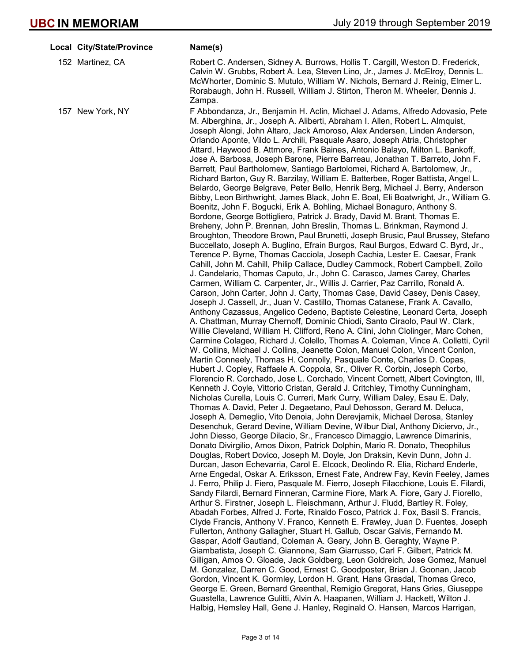| Local City/State/Province | Name(s)                                                                                                                                                                                                                                                                                                                                                                                                                                                                                                                                                                                                                                                                                                                                                                                                                                                                                                                                                                                                                                                                                                                                                                                                                                                                                                                                                                                                                                                                                                                                                                                                                                                                                                                                                                                                                                                                                                                                                                                                                                                                                                                                                                                                                                                                                                                                                                                                                                                                                                                                                                                                                                                                                                                                                                                                                                                                                                                                                                                                                                                                                                                                                                                                                                                                                                                                                                                                                                                                                                                                                                                                                                                                                                                                                                                                                                                                                                        |
|---------------------------|----------------------------------------------------------------------------------------------------------------------------------------------------------------------------------------------------------------------------------------------------------------------------------------------------------------------------------------------------------------------------------------------------------------------------------------------------------------------------------------------------------------------------------------------------------------------------------------------------------------------------------------------------------------------------------------------------------------------------------------------------------------------------------------------------------------------------------------------------------------------------------------------------------------------------------------------------------------------------------------------------------------------------------------------------------------------------------------------------------------------------------------------------------------------------------------------------------------------------------------------------------------------------------------------------------------------------------------------------------------------------------------------------------------------------------------------------------------------------------------------------------------------------------------------------------------------------------------------------------------------------------------------------------------------------------------------------------------------------------------------------------------------------------------------------------------------------------------------------------------------------------------------------------------------------------------------------------------------------------------------------------------------------------------------------------------------------------------------------------------------------------------------------------------------------------------------------------------------------------------------------------------------------------------------------------------------------------------------------------------------------------------------------------------------------------------------------------------------------------------------------------------------------------------------------------------------------------------------------------------------------------------------------------------------------------------------------------------------------------------------------------------------------------------------------------------------------------------------------------------------------------------------------------------------------------------------------------------------------------------------------------------------------------------------------------------------------------------------------------------------------------------------------------------------------------------------------------------------------------------------------------------------------------------------------------------------------------------------------------------------------------------------------------------------------------------------------------------------------------------------------------------------------------------------------------------------------------------------------------------------------------------------------------------------------------------------------------------------------------------------------------------------------------------------------------------------------------------------------------------------------------------------------------------|
| 152 Martinez, CA          | Robert C. Andersen, Sidney A. Burrows, Hollis T. Cargill, Weston D. Frederick,<br>Calvin W. Grubbs, Robert A. Lea, Steven Lino, Jr., James J. McElroy, Dennis L.<br>McWhorter, Dominic S. Mutulo, William W. Nichols, Bernard J. Reinig, Elmer L.<br>Rorabaugh, John H. Russell, William J. Stirton, Theron M. Wheeler, Dennis J.                                                                                                                                                                                                                                                                                                                                                                                                                                                                                                                                                                                                                                                                                                                                                                                                                                                                                                                                                                                                                                                                                                                                                                                                                                                                                                                                                                                                                                                                                                                                                                                                                                                                                                                                                                                                                                                                                                                                                                                                                                                                                                                                                                                                                                                                                                                                                                                                                                                                                                                                                                                                                                                                                                                                                                                                                                                                                                                                                                                                                                                                                                                                                                                                                                                                                                                                                                                                                                                                                                                                                                              |
| 157 New York, NY          | Zampa.<br>F Abbondanza, Jr., Benjamin H. Aclin, Michael J. Adams, Alfredo Adovasio, Pete<br>M. Alberghina, Jr., Joseph A. Aliberti, Abraham I. Allen, Robert L. Almquist,<br>Joseph Alongi, John Altaro, Jack Amoroso, Alex Andersen, Linden Anderson,<br>Orlando Aponte, Vildo L. Archili, Pasquale Asaro, Joseph Atria, Christopher<br>Attard, Haywood B. Attmore, Frank Baines, Antonio Balayo, Milton L. Bankoff,<br>Jose A. Barbosa, Joseph Barone, Pierre Barreau, Jonathan T. Barreto, John F.<br>Barrett, Paul Bartholomew, Santiago Bartolomei, Richard A. Bartolomew, Jr.,<br>Richard Barton, Guy R. Barzilay, William E. Batterbee, Roger Battista, Angel L.<br>Belardo, George Belgrave, Peter Bello, Henrik Berg, Michael J. Berry, Anderson<br>Bibby, Leon Birthwright, James Black, John E. Boal, Eli Boatwright, Jr., William G.<br>Boenitz, John F. Bogucki, Erik A. Bohling, Michael Bonaguro, Anthony S.<br>Bordone, George Bottigliero, Patrick J. Brady, David M. Brant, Thomas E.<br>Breheny, John P. Brennan, John Breslin, Thomas L. Brinkman, Raymond J.<br>Broughton, Theodore Brown, Paul Brunetti, Joseph Brusic, Paul Brussey, Stefano<br>Buccellato, Joseph A. Buglino, Efrain Burgos, Raul Burgos, Edward C. Byrd, Jr.,<br>Terence P. Byrne, Thomas Cacciola, Joseph Cachia, Lester E. Caesar, Frank<br>Cahill, John M. Cahill, Philip Callace, Dudley Cammock, Robert Campbell, Zoilo<br>J. Candelario, Thomas Caputo, Jr., John C. Carasco, James Carey, Charles<br>Carmen, William C. Carpenter, Jr., Willis J. Carrier, Paz Carrillo, Ronald A.<br>Carson, John Carter, John J. Carty, Thomas Case, David Casey, Denis Casey,<br>Joseph J. Cassell, Jr., Juan V. Castillo, Thomas Catanese, Frank A. Cavallo,<br>Anthony Cazassus, Angelico Cedeno, Baptiste Celestine, Leonard Certa, Joseph<br>A. Chattman, Murray Chernoff, Dominic Chiodi, Santo Ciraolo, Paul W. Clark,<br>Willie Cleveland, William H. Clifford, Reno A. Clini, John Clolinger, Marc Cohen,<br>Carmine Colageo, Richard J. Colello, Thomas A. Coleman, Vince A. Colletti, Cyril<br>W. Collins, Michael J. Collins, Jeanette Colon, Manuel Colon, Vincent Conlon,<br>Martin Conneely, Thomas H. Connolly, Pasquale Conte, Charles D. Copas,<br>Hubert J. Copley, Raffaele A. Coppola, Sr., Oliver R. Corbin, Joseph Corbo,<br>Florencio R. Corchado, Jose L. Corchado, Vincent Cornett, Albert Covington, III,<br>Kenneth J. Coyle, Vittorio Cristan, Gerald J. Critchley, Timothy Cunningham,<br>Nicholas Curella, Louis C. Curreri, Mark Curry, William Daley, Esau E. Daly,<br>Thomas A. David, Peter J. Degaetano, Paul Dehosson, Gerard M. Deluca,<br>Joseph A. Demeglio, Vito Denoia, John Derevjamik, Michael Derosa, Stanley<br>Desenchuk, Gerard Devine, William Devine, Wilbur Dial, Anthony Diciervo, Jr.,<br>John Diesso, George Dilacio, Sr., Francesco Dimaggio, Lawrence Dimarinis,<br>Donato Divirgilio, Amos Dixon, Patrick Dolphin, Mario R. Donato, Theophilus<br>Douglas, Robert Dovico, Joseph M. Doyle, Jon Draksin, Kevin Dunn, John J.<br>Durcan, Jason Echevarria, Carol E. Elcock, Deolindo R. Elia, Richard Enderle,<br>Arne Engedal, Oskar A. Eriksson, Ernest Fate, Andrew Fay, Kevin Feeley, James<br>J. Ferro, Philip J. Fiero, Pasquale M. Fierro, Joseph Filacchione, Louis E. Filardi,<br>Sandy Filardi, Bernard Finneran, Carmine Fiore, Mark A. Fiore, Gary J. Fiorello,<br>Arthur S. Firstner, Joseph L. Fleischmann, Arthur J. Fludd, Bartley R. Foley,<br>Abadah Forbes, Alfred J. Forte, Rinaldo Fosco, Patrick J. Fox, Basil S. Francis,<br>Clyde Francis, Anthony V. Franco, Kenneth E. Frawley, Juan D. Fuentes, Joseph<br>Fullerton, Anthony Gallagher, Stuart H. Gallub, Oscar Galvis, Fernando M.<br>Gaspar, Adolf Gautland, Coleman A. Geary, John B. Geraghty, Wayne P.<br>Giambatista, Joseph C. Giannone, Sam Giarrusso, Carl F. Gilbert, Patrick M. |
|                           | Gilligan, Amos O. Gloade, Jack Goldberg, Leon Goldreich, Jose Gomez, Manuel<br>M. Gonzalez, Darren C. Good, Ernest C. Goodposter, Brian J. Goonan, Jacob<br>Gordon, Vincent K. Gormley, Lordon H. Grant, Hans Grasdal, Thomas Greco,                                                                                                                                                                                                                                                                                                                                                                                                                                                                                                                                                                                                                                                                                                                                                                                                                                                                                                                                                                                                                                                                                                                                                                                                                                                                                                                                                                                                                                                                                                                                                                                                                                                                                                                                                                                                                                                                                                                                                                                                                                                                                                                                                                                                                                                                                                                                                                                                                                                                                                                                                                                                                                                                                                                                                                                                                                                                                                                                                                                                                                                                                                                                                                                                                                                                                                                                                                                                                                                                                                                                                                                                                                                                           |
|                           | George E. Green, Bernard Greenthal, Remigio Gregorat, Hans Gries, Giuseppe                                                                                                                                                                                                                                                                                                                                                                                                                                                                                                                                                                                                                                                                                                                                                                                                                                                                                                                                                                                                                                                                                                                                                                                                                                                                                                                                                                                                                                                                                                                                                                                                                                                                                                                                                                                                                                                                                                                                                                                                                                                                                                                                                                                                                                                                                                                                                                                                                                                                                                                                                                                                                                                                                                                                                                                                                                                                                                                                                                                                                                                                                                                                                                                                                                                                                                                                                                                                                                                                                                                                                                                                                                                                                                                                                                                                                                     |
|                           | Guastella, Lawrence Gulitti, Alvin A. Haapanen, William J. Hackett, Wilton J.<br>Halbig, Hemsley Hall, Gene J. Hanley, Reginald O. Hansen, Marcos Harrigan,                                                                                                                                                                                                                                                                                                                                                                                                                                                                                                                                                                                                                                                                                                                                                                                                                                                                                                                                                                                                                                                                                                                                                                                                                                                                                                                                                                                                                                                                                                                                                                                                                                                                                                                                                                                                                                                                                                                                                                                                                                                                                                                                                                                                                                                                                                                                                                                                                                                                                                                                                                                                                                                                                                                                                                                                                                                                                                                                                                                                                                                                                                                                                                                                                                                                                                                                                                                                                                                                                                                                                                                                                                                                                                                                                    |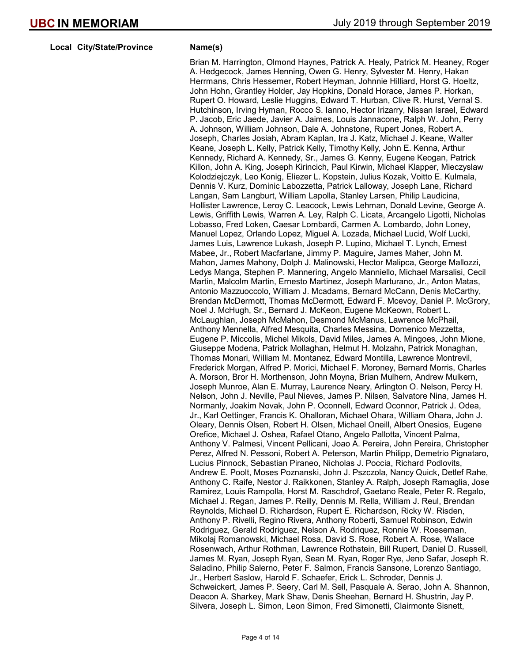Local City/State/Province Name(s)

Brian M. Harrington, Olmond Haynes, Patrick A. Healy, Patrick M. Heaney, Roger A. Hedgecock, James Henning, Owen G. Henry, Sylvester M. Henry, Hakan Herrmans, Chris Hessemer, Robert Heyman, Johnnie Hilliard, Horst G. Hoeltz, John Hohn, Grantley Holder, Jay Hopkins, Donald Horace, James P. Horkan, Rupert O. Howard, Leslie Huggins, Edward T. Hurban, Clive R. Hurst, Vernal S. Hutchinson, Irving Hyman, Rocco S. Ianno, Hector Irizarry, Nissan Israel, Edward P. Jacob, Eric Jaede, Javier A. Jaimes, Louis Jannacone, Ralph W. John, Perry A. Johnson, William Johnson, Dale A. Johnstone, Rupert Jones, Robert A. Joseph, Charles Josiah, Abram Kaplan, Ira J. Katz, Michael J. Keane, Walter Keane, Joseph L. Kelly, Patrick Kelly, Timothy Kelly, John E. Kenna, Arthur Kennedy, Richard A. Kennedy, Sr., James G. Kenny, Eugene Keogan, Patrick Killon, John A. King, Joseph Kirincich, Paul Kirwin, Michael Klapper, Mieczyslaw Kolodziejczyk, Leo Konig, Eliezer L. Kopstein, Julius Kozak, Voitto E. Kulmala, Dennis V. Kurz, Dominic Labozzetta, Patrick Lalloway, Joseph Lane, Richard Langan, Sam Langburt, William Lapolla, Stanley Larsen, Philip Laudicina, Hollister Lawrence, Leroy C. Leacock, Lewis Lehman, Donald Levine, George A. Lewis, Griffith Lewis, Warren A. Ley, Ralph C. Licata, Arcangelo Ligotti, Nicholas Lobasso, Fred Loken, Caesar Lombardi, Carmen A. Lombardo, John Loney, Manuel Lopez, Orlando Lopez, Miguel A. Lozada, Michael Lucid, Wolf Lucki, James Luis, Lawrence Lukash, Joseph P. Lupino, Michael T. Lynch, Ernest Mabee, Jr., Robert Macfarlane, Jimmy P. Maguire, James Maher, John M. Mahon, James Mahony, Dolph J. Malinowski, Hector Malipca, George Mallozzi, Ledys Manga, Stephen P. Mannering, Angelo Manniello, Michael Marsalisi, Cecil Martin, Malcolm Martin, Ernesto Martinez, Joseph Marturano, Jr., Anton Matas, Antonio Mazzuoccolo, William J. Mcadams, Bernard McCann, Denis McCarthy, Brendan McDermott, Thomas McDermott, Edward F. Mcevoy, Daniel P. McGrory, Noel J. McHugh, Sr., Bernard J. McKeon, Eugene McKeown, Robert L. McLaughlan, Joseph McMahon, Desmond McManus, Lawrence McPhail, Anthony Mennella, Alfred Mesquita, Charles Messina, Domenico Mezzetta, Eugene P. Miccolis, Michel Mikols, David Miles, James A. Mingoes, John Mione, Giuseppe Modena, Patrick Mollaghan, Helmut H. Molzahn, Patrick Monaghan, Thomas Monari, William M. Montanez, Edward Montilla, Lawrence Montrevil, Frederick Morgan, Alfred P. Morici, Michael F. Moroney, Bernard Morris, Charles A. Morson, Bror H. Morthenson, John Moyna, Brian Mulhern, Andrew Mulkern, Joseph Munroe, Alan E. Murray, Laurence Neary, Arlington O. Nelson, Percy H. Nelson, John J. Neville, Paul Nieves, James P. Nilsen, Salvatore Nina, James H. Normanly, Joakim Novak, John P. Oconnell, Edward Oconnor, Patrick J. Odea, Jr., Karl Oettinger, Francis K. Ohalloran, Michael Ohara, William Ohara, John J. Oleary, Dennis Olsen, Robert H. Olsen, Michael Oneill, Albert Onesios, Eugene Orefice, Michael J. Oshea, Rafael Otano, Angelo Pallotta, Vincent Palma, Anthony V. Palmesi, Vincent Pellicani, Joao A. Pereira, John Pereira, Christopher Perez, Alfred N. Pessoni, Robert A. Peterson, Martin Philipp, Demetrio Pignataro, Lucius Pinnock, Sebastian Piraneo, Nicholas J. Poccia, Richard Podlovits, Andrew E. Poolt, Moses Poznanski, John J. Pszczola, Nancy Quick, Detlef Rahe, Anthony C. Raife, Nestor J. Raikkonen, Stanley A. Ralph, Joseph Ramaglia, Jose Ramirez, Louis Rampolla, Horst M. Raschdrof, Gaetano Reale, Peter R. Regalo, Michael J. Regan, James P. Reilly, Dennis M. Rella, William J. Reul, Brendan Reynolds, Michael D. Richardson, Rupert E. Richardson, Ricky W. Risden, Anthony P. Rivelli, Regino Rivera, Anthony Roberti, Samuel Robinson, Edwin Rodriguez, Gerald Rodriguez, Nelson A. Rodriquez, Ronnie W. Roeseman, Mikolaj Romanowski, Michael Rosa, David S. Rose, Robert A. Rose, Wallace Rosenwach, Arthur Rothman, Lawrence Rothstein, Bill Rupert, Daniel D. Russell, James M. Ryan, Joseph Ryan, Sean M. Ryan, Roger Rye, Jeno Safar, Joseph R. Saladino, Philip Salerno, Peter F. Salmon, Francis Sansone, Lorenzo Santiago, Jr., Herbert Saslow, Harold F. Schaefer, Erick L. Schroder, Dennis J. Schweickert, James P. Seery, Carl M. Sell, Pasquale A. Serao, John A. Shannon, Deacon A. Sharkey, Mark Shaw, Denis Sheehan, Bernard H. Shustrin, Jay P. Silvera, Joseph L. Simon, Leon Simon, Fred Simonetti, Clairmonte Sisnett,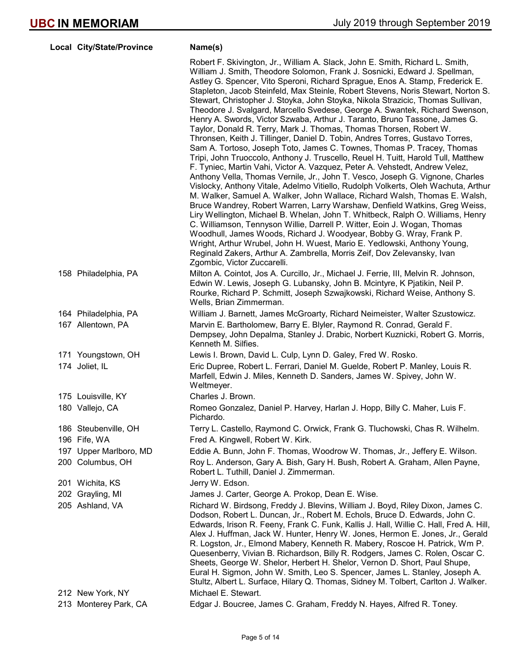|     | Local City/State/Province              | Name(s)                                                                                                                                                                                                                                                                                                                                                                                                                                                                                                                                                                                                                                                                                                                                                                                                                                                                                                                                                                                                                                                                                                                                                                                                                                                                                                                                                                                                                                                                                                                                                                                                                                                                                                                                             |
|-----|----------------------------------------|-----------------------------------------------------------------------------------------------------------------------------------------------------------------------------------------------------------------------------------------------------------------------------------------------------------------------------------------------------------------------------------------------------------------------------------------------------------------------------------------------------------------------------------------------------------------------------------------------------------------------------------------------------------------------------------------------------------------------------------------------------------------------------------------------------------------------------------------------------------------------------------------------------------------------------------------------------------------------------------------------------------------------------------------------------------------------------------------------------------------------------------------------------------------------------------------------------------------------------------------------------------------------------------------------------------------------------------------------------------------------------------------------------------------------------------------------------------------------------------------------------------------------------------------------------------------------------------------------------------------------------------------------------------------------------------------------------------------------------------------------------|
|     |                                        | Robert F. Skivington, Jr., William A. Slack, John E. Smith, Richard L. Smith,<br>William J. Smith, Theodore Solomon, Frank J. Sosnicki, Edward J. Spellman,<br>Astley G. Spencer, Vito Speroni, Richard Sprague, Enos A. Stamp, Frederick E.<br>Stapleton, Jacob Steinfeld, Max Steinle, Robert Stevens, Noris Stewart, Norton S.<br>Stewart, Christopher J. Stoyka, John Stoyka, Nikola Strazicic, Thomas Sullivan,<br>Theodore J. Svalgard, Marcello Svedese, George A. Swantek, Richard Swenson,<br>Henry A. Swords, Victor Szwaba, Arthur J. Taranto, Bruno Tassone, James G.<br>Taylor, Donald R. Terry, Mark J. Thomas, Thomas Thorsen, Robert W.<br>Thronsen, Keith J. Tillinger, Daniel D. Tobin, Andres Torres, Gustavo Torres,<br>Sam A. Tortoso, Joseph Toto, James C. Townes, Thomas P. Tracey, Thomas<br>Tripi, John Truoccolo, Anthony J. Truscello, Reuel H. Tuitt, Harold Tull, Matthew<br>F. Tyniec, Martin Vahi, Victor A. Vazquez, Peter A. Vehstedt, Andrew Velez,<br>Anthony Vella, Thomas Vernile, Jr., John T. Vesco, Joseph G. Vignone, Charles<br>Vislocky, Anthony Vitale, Adelmo Vitiello, Rudolph Volkerts, Oleh Wachuta, Arthur<br>M. Walker, Samuel A. Walker, John Wallace, Richard Walsh, Thomas E. Walsh,<br>Bruce Wandrey, Robert Warren, Larry Warshaw, Denfield Watkins, Greg Weiss,<br>Liry Wellington, Michael B. Whelan, John T. Whitbeck, Ralph O. Williams, Henry<br>C. Williamson, Tennyson Willie, Darrell P. Witter, Eoin J. Wogan, Thomas<br>Woodhull, James Woods, Richard J. Woodyear, Bobby G. Wray, Frank P.<br>Wright, Arthur Wrubel, John H. Wuest, Mario E. Yedlowski, Anthony Young,<br>Reginald Zakers, Arthur A. Zambrella, Morris Zeif, Dov Zelevansky, Ivan<br>Zgombic, Victor Zuccarelli. |
|     | 158 Philadelphia, PA                   | Milton A. Cointot, Jos A. Curcillo, Jr., Michael J. Ferrie, III, Melvin R. Johnson,<br>Edwin W. Lewis, Joseph G. Lubansky, John B. Mcintyre, K Pjatikin, Neil P.<br>Rourke, Richard P. Schmitt, Joseph Szwajkowski, Richard Weise, Anthony S.<br>Wells, Brian Zimmerman.                                                                                                                                                                                                                                                                                                                                                                                                                                                                                                                                                                                                                                                                                                                                                                                                                                                                                                                                                                                                                                                                                                                                                                                                                                                                                                                                                                                                                                                                            |
|     | 164 Philadelphia, PA                   | William J. Barnett, James McGroarty, Richard Neimeister, Walter Szustowicz.                                                                                                                                                                                                                                                                                                                                                                                                                                                                                                                                                                                                                                                                                                                                                                                                                                                                                                                                                                                                                                                                                                                                                                                                                                                                                                                                                                                                                                                                                                                                                                                                                                                                         |
|     | 167 Allentown, PA                      | Marvin E. Bartholomew, Barry E. Blyler, Raymond R. Conrad, Gerald F.<br>Dempsey, John Depalma, Stanley J. Drabic, Norbert Kuznicki, Robert G. Morris,<br>Kenneth M. Silfies.                                                                                                                                                                                                                                                                                                                                                                                                                                                                                                                                                                                                                                                                                                                                                                                                                                                                                                                                                                                                                                                                                                                                                                                                                                                                                                                                                                                                                                                                                                                                                                        |
|     | 171 Youngstown, OH                     | Lewis I. Brown, David L. Culp, Lynn D. Galey, Fred W. Rosko.                                                                                                                                                                                                                                                                                                                                                                                                                                                                                                                                                                                                                                                                                                                                                                                                                                                                                                                                                                                                                                                                                                                                                                                                                                                                                                                                                                                                                                                                                                                                                                                                                                                                                        |
|     | 174 Joliet, IL                         | Eric Dupree, Robert L. Ferrari, Daniel M. Guelde, Robert P. Manley, Louis R.<br>Marfell, Edwin J. Miles, Kenneth D. Sanders, James W. Spivey, John W.<br>Weltmeyer.                                                                                                                                                                                                                                                                                                                                                                                                                                                                                                                                                                                                                                                                                                                                                                                                                                                                                                                                                                                                                                                                                                                                                                                                                                                                                                                                                                                                                                                                                                                                                                                 |
|     | 175 Louisville, KY                     | Charles J. Brown.                                                                                                                                                                                                                                                                                                                                                                                                                                                                                                                                                                                                                                                                                                                                                                                                                                                                                                                                                                                                                                                                                                                                                                                                                                                                                                                                                                                                                                                                                                                                                                                                                                                                                                                                   |
|     | 180 Vallejo, CA                        | Romeo Gonzalez, Daniel P. Harvey, Harlan J. Hopp, Billy C. Maher, Luis F.<br>Pichardo.                                                                                                                                                                                                                                                                                                                                                                                                                                                                                                                                                                                                                                                                                                                                                                                                                                                                                                                                                                                                                                                                                                                                                                                                                                                                                                                                                                                                                                                                                                                                                                                                                                                              |
|     | 186 Steubenville, OH                   | Terry L. Castello, Raymond C. Orwick, Frank G. Tluchowski, Chas R. Wilhelm.                                                                                                                                                                                                                                                                                                                                                                                                                                                                                                                                                                                                                                                                                                                                                                                                                                                                                                                                                                                                                                                                                                                                                                                                                                                                                                                                                                                                                                                                                                                                                                                                                                                                         |
|     | 196 Fife, WA                           | Fred A. Kingwell, Robert W. Kirk.                                                                                                                                                                                                                                                                                                                                                                                                                                                                                                                                                                                                                                                                                                                                                                                                                                                                                                                                                                                                                                                                                                                                                                                                                                                                                                                                                                                                                                                                                                                                                                                                                                                                                                                   |
| 197 | Upper Marlboro, MD<br>200 Columbus, OH | Eddie A. Bunn, John F. Thomas, Woodrow W. Thomas, Jr., Jeffery E. Wilson.<br>Roy L. Anderson, Gary A. Bish, Gary H. Bush, Robert A. Graham, Allen Payne,<br>Robert L. Tuthill, Daniel J. Zimmerman.                                                                                                                                                                                                                                                                                                                                                                                                                                                                                                                                                                                                                                                                                                                                                                                                                                                                                                                                                                                                                                                                                                                                                                                                                                                                                                                                                                                                                                                                                                                                                 |
|     | 201 Wichita, KS                        | Jerry W. Edson.                                                                                                                                                                                                                                                                                                                                                                                                                                                                                                                                                                                                                                                                                                                                                                                                                                                                                                                                                                                                                                                                                                                                                                                                                                                                                                                                                                                                                                                                                                                                                                                                                                                                                                                                     |
|     | 202 Grayling, MI                       | James J. Carter, George A. Prokop, Dean E. Wise.                                                                                                                                                                                                                                                                                                                                                                                                                                                                                                                                                                                                                                                                                                                                                                                                                                                                                                                                                                                                                                                                                                                                                                                                                                                                                                                                                                                                                                                                                                                                                                                                                                                                                                    |
|     | 205 Ashland, VA                        | Richard W. Birdsong, Freddy J. Blevins, William J. Boyd, Riley Dixon, James C.<br>Dodson, Robert L. Duncan, Jr., Robert M. Echols, Bruce D. Edwards, John C.<br>Edwards, Irison R. Feeny, Frank C. Funk, Kallis J. Hall, Willie C. Hall, Fred A. Hill,<br>Alex J. Huffman, Jack W. Hunter, Henry W. Jones, Hermon E. Jones, Jr., Gerald<br>R. Logston, Jr., Elmond Mabery, Kenneth R. Mabery, Roscoe H. Patrick, Wm P.<br>Quesenberry, Vivian B. Richardson, Billy R. Rodgers, James C. Rolen, Oscar C.<br>Sheets, George W. Shelor, Herbert H. Shelor, Vernon D. Short, Paul Shupe,<br>Eural H. Sigmon, John W. Smith, Leo S. Spencer, James L. Stanley, Joseph A.<br>Stultz, Albert L. Surface, Hilary Q. Thomas, Sidney M. Tolbert, Carlton J. Walker.                                                                                                                                                                                                                                                                                                                                                                                                                                                                                                                                                                                                                                                                                                                                                                                                                                                                                                                                                                                           |
|     | 212 New York, NY                       | Michael E. Stewart.                                                                                                                                                                                                                                                                                                                                                                                                                                                                                                                                                                                                                                                                                                                                                                                                                                                                                                                                                                                                                                                                                                                                                                                                                                                                                                                                                                                                                                                                                                                                                                                                                                                                                                                                 |
|     | 213 Monterey Park, CA                  | Edgar J. Boucree, James C. Graham, Freddy N. Hayes, Alfred R. Toney.                                                                                                                                                                                                                                                                                                                                                                                                                                                                                                                                                                                                                                                                                                                                                                                                                                                                                                                                                                                                                                                                                                                                                                                                                                                                                                                                                                                                                                                                                                                                                                                                                                                                                |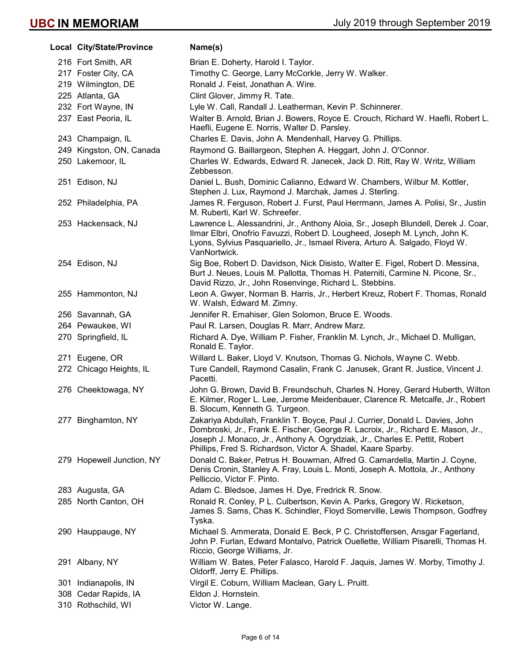| Local City/State/Province | Name(s)                                                                                                                                                                                                                                                                                                           |
|---------------------------|-------------------------------------------------------------------------------------------------------------------------------------------------------------------------------------------------------------------------------------------------------------------------------------------------------------------|
| 216 Fort Smith, AR        | Brian E. Doherty, Harold I. Taylor.                                                                                                                                                                                                                                                                               |
| 217 Foster City, CA       | Timothy C. George, Larry McCorkle, Jerry W. Walker.                                                                                                                                                                                                                                                               |
| 219 Wilmington, DE        | Ronald J. Feist, Jonathan A. Wire.                                                                                                                                                                                                                                                                                |
| 225 Atlanta, GA           | Clint Glover, Jimmy R. Tate.                                                                                                                                                                                                                                                                                      |
| 232 Fort Wayne, IN        | Lyle W. Call, Randall J. Leatherman, Kevin P. Schinnerer.                                                                                                                                                                                                                                                         |
| 237 East Peoria, IL       | Walter B. Arnold, Brian J. Bowers, Royce E. Crouch, Richard W. Haefli, Robert L.<br>Haefli, Eugene E. Norris, Walter D. Parsley.                                                                                                                                                                                  |
| 243 Champaign, IL         | Charles E. Davis, John A. Mendenhall, Harvey G. Phillips.                                                                                                                                                                                                                                                         |
| 249 Kingston, ON, Canada  | Raymond G. Baillargeon, Stephen A. Heggart, John J. O'Connor.                                                                                                                                                                                                                                                     |
| 250 Lakemoor, IL          | Charles W. Edwards, Edward R. Janecek, Jack D. Ritt, Ray W. Writz, William<br>Zebbesson.                                                                                                                                                                                                                          |
| 251 Edison, NJ            | Daniel L. Bush, Dominic Calianno, Edward W. Chambers, Wilbur M. Kottler,<br>Stephen J. Lux, Raymond J. Marchak, James J. Sterling.                                                                                                                                                                                |
| 252 Philadelphia, PA      | James R. Ferguson, Robert J. Furst, Paul Herrmann, James A. Polisi, Sr., Justin<br>M. Ruberti, Karl W. Schreefer.                                                                                                                                                                                                 |
| 253 Hackensack, NJ        | Lawrence L. Alessandrini, Jr., Anthony Aloia, Sr., Joseph Blundell, Derek J. Coar,<br>Ilmar Elbri, Onofrio Favuzzi, Robert D. Lougheed, Joseph M. Lynch, John K.<br>Lyons, Sylvius Pasquariello, Jr., Ismael Rivera, Arturo A. Salgado, Floyd W.<br>VanNortwick.                                                  |
| 254 Edison, NJ            | Sig Boe, Robert D. Davidson, Nick Disisto, Walter E. Figel, Robert D. Messina,<br>Burt J. Neues, Louis M. Pallotta, Thomas H. Paterniti, Carmine N. Picone, Sr.,<br>David Rizzo, Jr., John Rosenvinge, Richard L. Stebbins.                                                                                       |
| 255 Hammonton, NJ         | Leon A. Gwyer, Norman B. Harris, Jr., Herbert Kreuz, Robert F. Thomas, Ronald<br>W. Walsh, Edward M. Zimny.                                                                                                                                                                                                       |
| 256 Savannah, GA          | Jennifer R. Emahiser, Glen Solomon, Bruce E. Woods.                                                                                                                                                                                                                                                               |
| 264 Pewaukee, WI          | Paul R. Larsen, Douglas R. Marr, Andrew Marz.                                                                                                                                                                                                                                                                     |
| 270 Springfield, IL       | Richard A. Dye, William P. Fisher, Franklin M. Lynch, Jr., Michael D. Mulligan,<br>Ronald E. Taylor.                                                                                                                                                                                                              |
| 271 Eugene, OR            | Willard L. Baker, Lloyd V. Knutson, Thomas G. Nichols, Wayne C. Webb.                                                                                                                                                                                                                                             |
| 272 Chicago Heights, IL   | Ture Candell, Raymond Casalin, Frank C. Janusek, Grant R. Justice, Vincent J.<br>Pacetti.                                                                                                                                                                                                                         |
| 276 Cheektowaga, NY       | John G. Brown, David B. Freundschuh, Charles N. Horey, Gerard Huberth, Wilton<br>E. Kilmer, Roger L. Lee, Jerome Meidenbauer, Clarence R. Metcalfe, Jr., Robert<br>B. Slocum, Kenneth G. Turgeon.                                                                                                                 |
| 277 Binghamton, NY        | Zakariya Abdullah, Franklin T. Boyce, Paul J. Currier, Donald L. Davies, John<br>Dombroski, Jr., Frank E. Fischer, George R. Lacroix, Jr., Richard E. Mason, Jr.,<br>Joseph J. Monaco, Jr., Anthony A. Ogrydziak, Jr., Charles E. Pettit, Robert<br>Phillips, Fred S. Richardson, Victor A. Shadel, Kaare Sparby. |
| 279 Hopewell Junction, NY | Donald C. Baker, Petrus H. Bouwman, Alfred G. Camardella, Martin J. Coyne,<br>Denis Cronin, Stanley A. Fray, Louis L. Monti, Joseph A. Mottola, Jr., Anthony<br>Pelliccio, Victor F. Pinto.                                                                                                                       |
| 283 Augusta, GA           | Adam C. Bledsoe, James H. Dye, Fredrick R. Snow.                                                                                                                                                                                                                                                                  |
| 285 North Canton, OH      | Ronald R. Conley, P L. Culbertson, Kevin A. Parks, Gregory W. Ricketson,<br>James S. Sams, Chas K. Schindler, Floyd Somerville, Lewis Thompson, Godfrey<br>Tyska.                                                                                                                                                 |
| 290 Hauppauge, NY         | Michael S. Ammerata, Donald E. Beck, P C. Christoffersen, Ansgar Fagerland,<br>John P. Furlan, Edward Montalvo, Patrick Ouellette, William Pisarelli, Thomas H.<br>Riccio, George Williams, Jr.                                                                                                                   |
| 291 Albany, NY            | William W. Bates, Peter Falasco, Harold F. Jaquis, James W. Morby, Timothy J.<br>Oldorff, Jerry E. Phillips.                                                                                                                                                                                                      |
| 301 Indianapolis, IN      | Virgil E. Coburn, William Maclean, Gary L. Pruitt.                                                                                                                                                                                                                                                                |
| 308 Cedar Rapids, IA      | Eldon J. Hornstein.                                                                                                                                                                                                                                                                                               |
| 310 Rothschild, WI        | Victor W. Lange.                                                                                                                                                                                                                                                                                                  |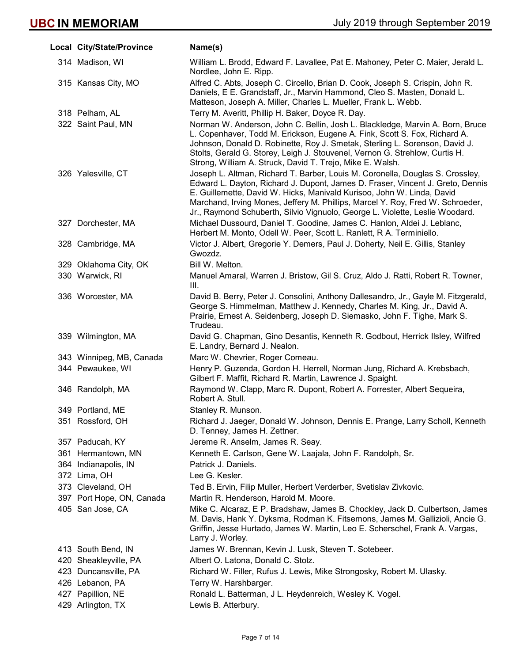|     | Local City/State/Province | Name(s)                                                                                                                                                                                                                                                                                                                                                                                                     |
|-----|---------------------------|-------------------------------------------------------------------------------------------------------------------------------------------------------------------------------------------------------------------------------------------------------------------------------------------------------------------------------------------------------------------------------------------------------------|
|     | 314 Madison, WI           | William L. Brodd, Edward F. Lavallee, Pat E. Mahoney, Peter C. Maier, Jerald L.<br>Nordlee, John E. Ripp.                                                                                                                                                                                                                                                                                                   |
|     | 315 Kansas City, MO       | Alfred C. Abts, Joseph C. Circello, Brian D. Cook, Joseph S. Crispin, John R.<br>Daniels, E.E. Grandstaff, Jr., Marvin Hammond, Cleo S. Masten, Donald L.<br>Matteson, Joseph A. Miller, Charles L. Mueller, Frank L. Webb.                                                                                                                                                                                 |
|     | 318 Pelham, AL            | Terry M. Averitt, Phillip H. Baker, Doyce R. Day.                                                                                                                                                                                                                                                                                                                                                           |
|     | 322 Saint Paul, MN        | Norman W. Anderson, John C. Bellin, Josh L. Blackledge, Marvin A. Born, Bruce<br>L. Copenhaver, Todd M. Erickson, Eugene A. Fink, Scott S. Fox, Richard A.<br>Johnson, Donald D. Robinette, Roy J. Smetak, Sterling L. Sorenson, David J.<br>Stolts, Gerald G. Storey, Leigh J. Stouvenel, Vernon G. Strehlow, Curtis H.<br>Strong, William A. Struck, David T. Trejo, Mike E. Walsh.                       |
|     | 326 Yalesville, CT        | Joseph L. Altman, Richard T. Barber, Louis M. Coronella, Douglas S. Crossley,<br>Edward L. Dayton, Richard J. Dupont, James D. Fraser, Vincent J. Greto, Dennis<br>E. Guillemette, David W. Hicks, Manivald Kurisoo, John W. Linda, David<br>Marchand, Irving Mones, Jeffery M. Phillips, Marcel Y. Roy, Fred W. Schroeder,<br>Jr., Raymond Schuberth, Silvio Vignuolo, George L. Violette, Leslie Woodard. |
|     | 327 Dorchester, MA        | Michael Dussourd, Daniel T. Goodine, James C. Hanlon, Aldei J. Leblanc,<br>Herbert M. Monto, Odell W. Peer, Scott L. Ranlett, R.A. Terminiello.                                                                                                                                                                                                                                                             |
|     | 328 Cambridge, MA         | Victor J. Albert, Gregorie Y. Demers, Paul J. Doherty, Neil E. Gillis, Stanley<br>Gwozdz.                                                                                                                                                                                                                                                                                                                   |
|     | 329 Oklahoma City, OK     | Bill W. Melton.                                                                                                                                                                                                                                                                                                                                                                                             |
|     | 330 Warwick, RI           | Manuel Amaral, Warren J. Bristow, Gil S. Cruz, Aldo J. Ratti, Robert R. Towner,<br>III.                                                                                                                                                                                                                                                                                                                     |
|     | 336 Worcester, MA         | David B. Berry, Peter J. Consolini, Anthony Dallesandro, Jr., Gayle M. Fitzgerald,<br>George S. Himmelman, Matthew J. Kennedy, Charles M. King, Jr., David A.<br>Prairie, Ernest A. Seidenberg, Joseph D. Siemasko, John F. Tighe, Mark S.<br>Trudeau.                                                                                                                                                      |
|     | 339 Wilmington, MA        | David G. Chapman, Gino Desantis, Kenneth R. Godbout, Herrick Ilsley, Wilfred<br>E. Landry, Bernard J. Nealon.                                                                                                                                                                                                                                                                                               |
|     | 343 Winnipeg, MB, Canada  | Marc W. Chevrier, Roger Comeau.                                                                                                                                                                                                                                                                                                                                                                             |
|     | 344 Pewaukee, WI          | Henry P. Guzenda, Gordon H. Herrell, Norman Jung, Richard A. Krebsbach,<br>Gilbert F. Maffit, Richard R. Martin, Lawrence J. Spaight.                                                                                                                                                                                                                                                                       |
|     | 346 Randolph, MA          | Raymond W. Clapp, Marc R. Dupont, Robert A. Forrester, Albert Sequeira,<br>Robert A. Stull.                                                                                                                                                                                                                                                                                                                 |
|     | 349 Portland, ME          | Stanley R. Munson.                                                                                                                                                                                                                                                                                                                                                                                          |
|     | 351 Rossford, OH          | Richard J. Jaeger, Donald W. Johnson, Dennis E. Prange, Larry Scholl, Kenneth<br>D. Tenney, James H. Zettner.                                                                                                                                                                                                                                                                                               |
|     | 357 Paducah, KY           | Jereme R. Anselm, James R. Seay.                                                                                                                                                                                                                                                                                                                                                                            |
|     | 361 Hermantown, MN        | Kenneth E. Carlson, Gene W. Laajala, John F. Randolph, Sr.                                                                                                                                                                                                                                                                                                                                                  |
|     | 364 Indianapolis, IN      | Patrick J. Daniels.                                                                                                                                                                                                                                                                                                                                                                                         |
|     | 372 Lima, OH              | Lee G. Kesler.                                                                                                                                                                                                                                                                                                                                                                                              |
|     | 373 Cleveland, OH         | Ted B. Ervin, Filip Muller, Herbert Verderber, Svetislav Zivkovic.                                                                                                                                                                                                                                                                                                                                          |
|     | 397 Port Hope, ON, Canada | Martin R. Henderson, Harold M. Moore.                                                                                                                                                                                                                                                                                                                                                                       |
|     | 405 San Jose, CA          | Mike C. Alcaraz, E P. Bradshaw, James B. Chockley, Jack D. Culbertson, James<br>M. Davis, Hank Y. Dyksma, Rodman K. Fitsemons, James M. Gallizioli, Ancie G.<br>Griffin, Jesse Hurtado, James W. Martin, Leo E. Scherschel, Frank A. Vargas,<br>Larry J. Worley.                                                                                                                                            |
|     | 413 South Bend, IN        | James W. Brennan, Kevin J. Lusk, Steven T. Sotebeer.                                                                                                                                                                                                                                                                                                                                                        |
|     | 420 Sheakleyville, PA     | Albert O. Latona, Donald C. Stolz.                                                                                                                                                                                                                                                                                                                                                                          |
|     | 423 Duncansville, PA      | Richard W. Filler, Rufus J. Lewis, Mike Strongosky, Robert M. Ulasky.                                                                                                                                                                                                                                                                                                                                       |
|     | 426 Lebanon, PA           | Terry W. Harshbarger.                                                                                                                                                                                                                                                                                                                                                                                       |
| 427 | Papillion, NE             | Ronald L. Batterman, J L. Heydenreich, Wesley K. Vogel.                                                                                                                                                                                                                                                                                                                                                     |
|     | 429 Arlington, TX         | Lewis B. Atterbury.                                                                                                                                                                                                                                                                                                                                                                                         |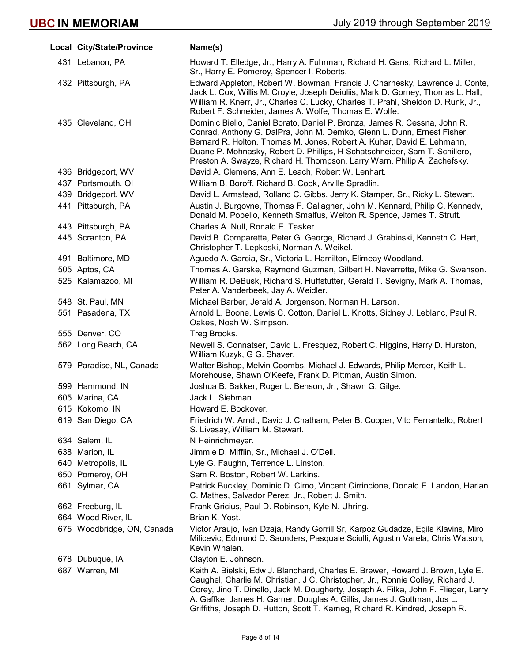|     | Local City/State/Province  | Name(s)                                                                                                                                                                                                                                                                                                                                                                                                           |
|-----|----------------------------|-------------------------------------------------------------------------------------------------------------------------------------------------------------------------------------------------------------------------------------------------------------------------------------------------------------------------------------------------------------------------------------------------------------------|
|     | 431 Lebanon, PA            | Howard T. Elledge, Jr., Harry A. Fuhrman, Richard H. Gans, Richard L. Miller,<br>Sr., Harry E. Pomeroy, Spencer I. Roberts.                                                                                                                                                                                                                                                                                       |
|     | 432 Pittsburgh, PA         | Edward Appleton, Robert W. Bowman, Francis J. Charnesky, Lawrence J. Conte,<br>Jack L. Cox, Willis M. Croyle, Joseph Deiuliis, Mark D. Gorney, Thomas L. Hall,<br>William R. Knerr, Jr., Charles C. Lucky, Charles T. Prahl, Sheldon D. Runk, Jr.,<br>Robert F. Schneider, James A. Wolfe, Thomas E. Wolfe.                                                                                                       |
|     | 435 Cleveland, OH          | Dominic Biello, Daniel Borato, Daniel P. Bronza, James R. Cessna, John R.<br>Conrad, Anthony G. DalPra, John M. Demko, Glenn L. Dunn, Ernest Fisher,<br>Bernard R. Holton, Thomas M. Jones, Robert A. Kuhar, David E. Lehmann,<br>Duane P. Mohnasky, Robert D. Phillips, H Schatschneider, Sam T. Schillero,<br>Preston A. Swayze, Richard H. Thompson, Larry Warn, Philip A. Zachefsky.                          |
|     | 436 Bridgeport, WV         | David A. Clemens, Ann E. Leach, Robert W. Lenhart.                                                                                                                                                                                                                                                                                                                                                                |
|     | 437 Portsmouth, OH         | William B. Boroff, Richard B. Cook, Arville Spradlin.                                                                                                                                                                                                                                                                                                                                                             |
|     | 439 Bridgeport, WV         | David L. Armstead, Rolland C. Gibbs, Jerry K. Stamper, Sr., Ricky L. Stewart.                                                                                                                                                                                                                                                                                                                                     |
|     | 441 Pittsburgh, PA         | Austin J. Burgoyne, Thomas F. Gallagher, John M. Kennard, Philip C. Kennedy,<br>Donald M. Popello, Kenneth Smalfus, Welton R. Spence, James T. Strutt.                                                                                                                                                                                                                                                            |
|     | 443 Pittsburgh, PA         | Charles A. Null, Ronald E. Tasker.                                                                                                                                                                                                                                                                                                                                                                                |
|     | 445 Scranton, PA           | David B. Comparetta, Peter G. George, Richard J. Grabinski, Kenneth C. Hart,<br>Christopher T. Lepkoski, Norman A. Weikel.                                                                                                                                                                                                                                                                                        |
|     | 491 Baltimore, MD          | Aguedo A. Garcia, Sr., Victoria L. Hamilton, Elimeay Woodland.                                                                                                                                                                                                                                                                                                                                                    |
|     | 505 Aptos, CA              | Thomas A. Garske, Raymond Guzman, Gilbert H. Navarrette, Mike G. Swanson.                                                                                                                                                                                                                                                                                                                                         |
|     | 525 Kalamazoo, MI          | William R. DeBusk, Richard S. Huffstutter, Gerald T. Sevigny, Mark A. Thomas,<br>Peter A. Vanderbeek, Jay A. Weidler.                                                                                                                                                                                                                                                                                             |
|     | 548 St. Paul, MN           | Michael Barber, Jerald A. Jorgenson, Norman H. Larson.                                                                                                                                                                                                                                                                                                                                                            |
|     | 551 Pasadena, TX           | Arnold L. Boone, Lewis C. Cotton, Daniel L. Knotts, Sidney J. Leblanc, Paul R.<br>Oakes, Noah W. Simpson.                                                                                                                                                                                                                                                                                                         |
|     | 555 Denver, CO             | Treg Brooks.                                                                                                                                                                                                                                                                                                                                                                                                      |
|     | 562 Long Beach, CA         | Newell S. Connatser, David L. Fresquez, Robert C. Higgins, Harry D. Hurston,<br>William Kuzyk, G G. Shaver.                                                                                                                                                                                                                                                                                                       |
|     | 579 Paradise, NL, Canada   | Walter Bishop, Melvin Coombs, Michael J. Edwards, Philip Mercer, Keith L.<br>Morehouse, Shawn O'Keefe, Frank D. Pittman, Austin Simon.                                                                                                                                                                                                                                                                            |
|     | 599 Hammond, IN            | Joshua B. Bakker, Roger L. Benson, Jr., Shawn G. Gilge.                                                                                                                                                                                                                                                                                                                                                           |
|     | 605 Marina, CA             | Jack L. Siebman.                                                                                                                                                                                                                                                                                                                                                                                                  |
|     | 615 Kokomo, IN             | Howard E. Bockover.                                                                                                                                                                                                                                                                                                                                                                                               |
|     | 619 San Diego, CA          | Friedrich W. Arndt, David J. Chatham, Peter B. Cooper, Vito Ferrantello, Robert<br>S. Livesay, William M. Stewart.                                                                                                                                                                                                                                                                                                |
|     | 634 Salem, IL              | N Heinrichmeyer.                                                                                                                                                                                                                                                                                                                                                                                                  |
|     | 638 Marion, IL             | Jimmie D. Mifflin, Sr., Michael J. O'Dell.                                                                                                                                                                                                                                                                                                                                                                        |
|     | 640 Metropolis, IL         | Lyle G. Faughn, Terrence L. Linston.                                                                                                                                                                                                                                                                                                                                                                              |
| 650 | Pomeroy, OH                | Sam R. Boston, Robert W. Larkins.                                                                                                                                                                                                                                                                                                                                                                                 |
|     | 661 Sylmar, CA             | Patrick Buckley, Dominic D. Cimo, Vincent Cirrincione, Donald E. Landon, Harlan<br>C. Mathes, Salvador Perez, Jr., Robert J. Smith.                                                                                                                                                                                                                                                                               |
|     | 662 Freeburg, IL           | Frank Gricius, Paul D. Robinson, Kyle N. Uhring.                                                                                                                                                                                                                                                                                                                                                                  |
|     | 664 Wood River, IL         | Brian K. Yost.                                                                                                                                                                                                                                                                                                                                                                                                    |
|     | 675 Woodbridge, ON, Canada | Victor Araujo, Ivan Dzaja, Randy Gorrill Sr, Karpoz Gudadze, Egils Klavins, Miro<br>Milicevic, Edmund D. Saunders, Pasquale Sciulli, Agustin Varela, Chris Watson,<br>Kevin Whalen.                                                                                                                                                                                                                               |
|     | 678 Dubuque, IA            | Clayton E. Johnson.                                                                                                                                                                                                                                                                                                                                                                                               |
|     | 687 Warren, MI             | Keith A. Bielski, Edw J. Blanchard, Charles E. Brewer, Howard J. Brown, Lyle E.<br>Caughel, Charlie M. Christian, J C. Christopher, Jr., Ronnie Colley, Richard J.<br>Corey, Jino T. Dinello, Jack M. Dougherty, Joseph A. Filka, John F. Flieger, Larry<br>A. Gaffke, James H. Garner, Douglas A. Gillis, James J. Gottman, Jos L.<br>Griffiths, Joseph D. Hutton, Scott T. Kameg, Richard R. Kindred, Joseph R. |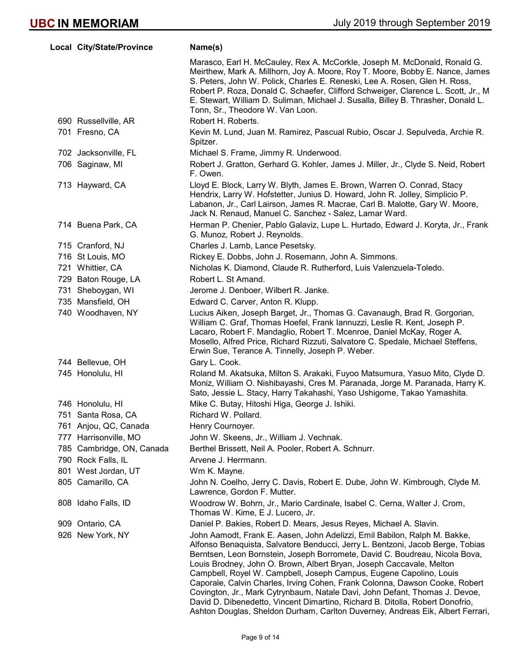|     | Local City/State/Province | Name(s)                                                                                                                                                                                                                                                                                                                                                                                                                                                                                                                                                                                                                                                                                                                   |
|-----|---------------------------|---------------------------------------------------------------------------------------------------------------------------------------------------------------------------------------------------------------------------------------------------------------------------------------------------------------------------------------------------------------------------------------------------------------------------------------------------------------------------------------------------------------------------------------------------------------------------------------------------------------------------------------------------------------------------------------------------------------------------|
|     |                           | Marasco, Earl H. McCauley, Rex A. McCorkle, Joseph M. McDonald, Ronald G.<br>Meirthew, Mark A. Millhorn, Joy A. Moore, Roy T. Moore, Bobby E. Nance, James<br>S. Peters, John W. Polick, Charles E. Reneski, Lee A. Rosen, Glen H. Ross,<br>Robert P. Roza, Donald C. Schaefer, Clifford Schweiger, Clarence L. Scott, Jr., M<br>E. Stewart, William D. Suliman, Michael J. Susalla, Billey B. Thrasher, Donald L.<br>Tonn, Sr., Theodore W. Van Loon.                                                                                                                                                                                                                                                                    |
|     | 690 Russellville, AR      | Robert H. Roberts.                                                                                                                                                                                                                                                                                                                                                                                                                                                                                                                                                                                                                                                                                                        |
|     | 701 Fresno, CA            | Kevin M. Lund, Juan M. Ramirez, Pascual Rubio, Oscar J. Sepulveda, Archie R.<br>Spitzer.                                                                                                                                                                                                                                                                                                                                                                                                                                                                                                                                                                                                                                  |
|     | 702 Jacksonville, FL      | Michael S. Frame, Jimmy R. Underwood.                                                                                                                                                                                                                                                                                                                                                                                                                                                                                                                                                                                                                                                                                     |
|     | 706 Saginaw, MI           | Robert J. Gratton, Gerhard G. Kohler, James J. Miller, Jr., Clyde S. Neid, Robert<br>F. Owen.                                                                                                                                                                                                                                                                                                                                                                                                                                                                                                                                                                                                                             |
|     | 713 Hayward, CA           | Lloyd E. Block, Larry W. Blyth, James E. Brown, Warren O. Conrad, Stacy<br>Hendrix, Larry W. Hofstetter, Junius D. Howard, John R. Jolley, Simplicio P.<br>Labanon, Jr., Carl Lairson, James R. Macrae, Carl B. Malotte, Gary W. Moore,<br>Jack N. Renaud, Manuel C. Sanchez - Salez, Lamar Ward.                                                                                                                                                                                                                                                                                                                                                                                                                         |
|     | 714 Buena Park, CA        | Herman P. Chenier, Pablo Galaviz, Lupe L. Hurtado, Edward J. Koryta, Jr., Frank<br>G. Munoz, Robert J. Reynolds.                                                                                                                                                                                                                                                                                                                                                                                                                                                                                                                                                                                                          |
|     | 715 Cranford, NJ          | Charles J. Lamb, Lance Pesetsky.                                                                                                                                                                                                                                                                                                                                                                                                                                                                                                                                                                                                                                                                                          |
|     | 716 St Louis, MO          | Rickey E. Dobbs, John J. Rosemann, John A. Simmons.                                                                                                                                                                                                                                                                                                                                                                                                                                                                                                                                                                                                                                                                       |
|     | 721 Whittier, CA          | Nicholas K. Diamond, Claude R. Rutherford, Luis Valenzuela-Toledo.                                                                                                                                                                                                                                                                                                                                                                                                                                                                                                                                                                                                                                                        |
|     | 729 Baton Rouge, LA       | Robert L. St Amand.                                                                                                                                                                                                                                                                                                                                                                                                                                                                                                                                                                                                                                                                                                       |
|     | 731 Sheboygan, WI         | Jerome J. Denboer, Wilbert R. Janke.                                                                                                                                                                                                                                                                                                                                                                                                                                                                                                                                                                                                                                                                                      |
|     | 735 Mansfield, OH         | Edward C. Carver, Anton R. Klupp.                                                                                                                                                                                                                                                                                                                                                                                                                                                                                                                                                                                                                                                                                         |
|     | 740 Woodhaven, NY         | Lucius Aiken, Joseph Barget, Jr., Thomas G. Cavanaugh, Brad R. Gorgorian,<br>William C. Graf, Thomas Hoefel, Frank lannuzzi, Leslie R. Kent, Joseph P.<br>Lacaro, Robert F. Mandaglio, Robert T. Mcenroe, Daniel McKay, Roger A.<br>Mosello, Alfred Price, Richard Rizzuti, Salvatore C. Spedale, Michael Steffens,<br>Erwin Sue, Terance A. Tinnelly, Joseph P. Weber.                                                                                                                                                                                                                                                                                                                                                   |
|     | 744 Bellevue, OH          | Gary L. Cook.                                                                                                                                                                                                                                                                                                                                                                                                                                                                                                                                                                                                                                                                                                             |
|     | 745 Honolulu, HI          | Roland M. Akatsuka, Milton S. Arakaki, Fuyoo Matsumura, Yasuo Mito, Clyde D.<br>Moniz, William O. Nishibayashi, Cres M. Paranada, Jorge M. Paranada, Harry K.<br>Sato, Jessie L. Stacy, Harry Takahashi, Yaso Ushigome, Takao Yamashita.                                                                                                                                                                                                                                                                                                                                                                                                                                                                                  |
|     | 746 Honolulu, HI          | Mike C. Butay, Hitoshi Higa, George J. Ishiki.                                                                                                                                                                                                                                                                                                                                                                                                                                                                                                                                                                                                                                                                            |
|     | 751 Santa Rosa, CA        | Richard W. Pollard.                                                                                                                                                                                                                                                                                                                                                                                                                                                                                                                                                                                                                                                                                                       |
|     | 761 Anjou, QC, Canada     | Henry Cournoyer.                                                                                                                                                                                                                                                                                                                                                                                                                                                                                                                                                                                                                                                                                                          |
| 777 | Harrisonville, MO         | John W. Skeens, Jr., William J. Vechnak.                                                                                                                                                                                                                                                                                                                                                                                                                                                                                                                                                                                                                                                                                  |
|     | 785 Cambridge, ON, Canada | Berthel Brissett, Neil A. Pooler, Robert A. Schnurr.                                                                                                                                                                                                                                                                                                                                                                                                                                                                                                                                                                                                                                                                      |
|     | 790 Rock Falls, IL        | Arvene J. Herrmann.                                                                                                                                                                                                                                                                                                                                                                                                                                                                                                                                                                                                                                                                                                       |
|     | 801 West Jordan, UT       | Wm K. Mayne.                                                                                                                                                                                                                                                                                                                                                                                                                                                                                                                                                                                                                                                                                                              |
|     | 805 Camarillo, CA         | John N. Coelho, Jerry C. Davis, Robert E. Dube, John W. Kimbrough, Clyde M.<br>Lawrence, Gordon F. Mutter.                                                                                                                                                                                                                                                                                                                                                                                                                                                                                                                                                                                                                |
|     | 808 Idaho Falls, ID       | Woodrow W. Bohrn, Jr., Mario Cardinale, Isabel C. Cerna, Walter J. Crom,<br>Thomas W. Kime, E J. Lucero, Jr.                                                                                                                                                                                                                                                                                                                                                                                                                                                                                                                                                                                                              |
|     | 909 Ontario, CA           | Daniel P. Bakies, Robert D. Mears, Jesus Reyes, Michael A. Slavin.                                                                                                                                                                                                                                                                                                                                                                                                                                                                                                                                                                                                                                                        |
|     | 926 New York, NY          | John Aamodt, Frank E. Aasen, John Adelizzi, Emil Babilon, Ralph M. Bakke,<br>Alfonso Benaquista, Salvatore Benducci, Jerry L. Bentzoni, Jacob Berge, Tobias<br>Berntsen, Leon Bornstein, Joseph Borromete, David C. Boudreau, Nicola Bova,<br>Louis Brodney, John O. Brown, Albert Bryan, Joseph Caccavale, Melton<br>Campbell, Royel W. Campbell, Joseph Campus, Eugene Capolino, Louis<br>Caporale, Calvin Charles, Irving Cohen, Frank Colonna, Dawson Cooke, Robert<br>Covington, Jr., Mark Cytrynbaum, Natale Davi, John Defant, Thomas J. Devoe,<br>David D. Dibenedetto, Vincent Dimartino, Richard B. Ditolla, Robert Donofrio,<br>Ashton Douglas, Sheldon Durham, Carlton Duverney, Andreas Eik, Albert Ferrari, |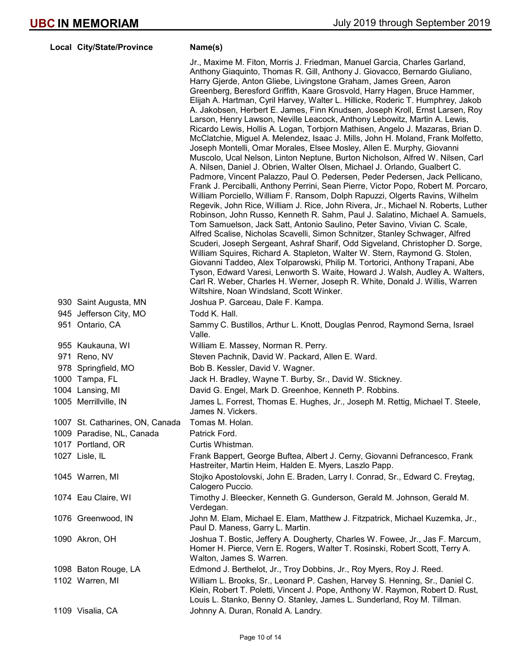| Local City/State/Province       | Name(s)                                                                                                                                                                                                                                                                                                                                                                                                                                                                                                                                                                                                                                                                                                                                                                                                                                                                                                                                                                                                                                                                                                                                                                                                                                                                                                                                                                                                                                                                                                                                                                                                                                                                                                                                                                                                                                                                                                                                                                                                                    |
|---------------------------------|----------------------------------------------------------------------------------------------------------------------------------------------------------------------------------------------------------------------------------------------------------------------------------------------------------------------------------------------------------------------------------------------------------------------------------------------------------------------------------------------------------------------------------------------------------------------------------------------------------------------------------------------------------------------------------------------------------------------------------------------------------------------------------------------------------------------------------------------------------------------------------------------------------------------------------------------------------------------------------------------------------------------------------------------------------------------------------------------------------------------------------------------------------------------------------------------------------------------------------------------------------------------------------------------------------------------------------------------------------------------------------------------------------------------------------------------------------------------------------------------------------------------------------------------------------------------------------------------------------------------------------------------------------------------------------------------------------------------------------------------------------------------------------------------------------------------------------------------------------------------------------------------------------------------------------------------------------------------------------------------------------------------------|
|                                 | Jr., Maxime M. Fiton, Morris J. Friedman, Manuel Garcia, Charles Garland,<br>Anthony Giaquinto, Thomas R. Gill, Anthony J. Giovacco, Bernardo Giuliano,<br>Harry Gjerde, Anton Gliebe, Livingstone Graham, James Green, Aaron<br>Greenberg, Beresford Griffith, Kaare Grosvold, Harry Hagen, Bruce Hammer,<br>Elijah A. Hartman, Cyril Harvey, Walter L. Hillicke, Roderic T. Humphrey, Jakob<br>A. Jakobsen, Herbert E. James, Finn Knudsen, Joseph Kroll, Ernst Larsen, Roy<br>Larson, Henry Lawson, Neville Leacock, Anthony Lebowitz, Martin A. Lewis,<br>Ricardo Lewis, Hollis A. Logan, Torbjorn Mathisen, Angelo J. Mazaras, Brian D.<br>McClatchie, Miguel A. Melendez, Isaac J. Mills, John H. Moland, Frank Molfetto,<br>Joseph Montelli, Omar Morales, Elsee Mosley, Allen E. Murphy, Giovanni<br>Muscolo, Ucal Nelson, Linton Neptune, Burton Nicholson, Alfred W. Nilsen, Carl<br>A. Nilsen, Daniel J. Obrien, Walter Olsen, Michael J. Orlando, Gualbert C.<br>Padmore, Vincent Palazzo, Paul O. Pedersen, Peder Pedersen, Jack Pellicano,<br>Frank J. Perciballi, Anthony Perrini, Sean Pierre, Victor Popo, Robert M. Porcaro,<br>William Porciello, William F. Ransom, Dolph Rapuzzi, Olgerts Ravins, Wilhelm<br>Regevik, John Rice, William J. Rice, John Rivera, Jr., Michael N. Roberts, Luther<br>Robinson, John Russo, Kenneth R. Sahm, Paul J. Salatino, Michael A. Samuels,<br>Tom Samuelson, Jack Satt, Antonio Saulino, Peter Savino, Vivian C. Scale,<br>Alfred Scalise, Nicholas Scavelli, Simon Schnitzer, Stanley Schwager, Alfred<br>Scuderi, Joseph Sergeant, Ashraf Sharif, Odd Sigveland, Christopher D. Sorge,<br>William Squires, Richard A. Stapleton, Walter W. Stern, Raymond G. Stolen,<br>Giovanni Taddeo, Alex Tolparowski, Philip M. Tortorici, Anthony Trapani, Abe<br>Tyson, Edward Varesi, Lenworth S. Waite, Howard J. Walsh, Audley A. Walters,<br>Carl R. Weber, Charles H. Werner, Joseph R. White, Donald J. Willis, Warren<br>Wiltshire, Noan Windsland, Scott Winker. |
| 930 Saint Augusta, MN           | Joshua P. Garceau, Dale F. Kampa.                                                                                                                                                                                                                                                                                                                                                                                                                                                                                                                                                                                                                                                                                                                                                                                                                                                                                                                                                                                                                                                                                                                                                                                                                                                                                                                                                                                                                                                                                                                                                                                                                                                                                                                                                                                                                                                                                                                                                                                          |
| 945 Jefferson City, MO          | Todd K. Hall.                                                                                                                                                                                                                                                                                                                                                                                                                                                                                                                                                                                                                                                                                                                                                                                                                                                                                                                                                                                                                                                                                                                                                                                                                                                                                                                                                                                                                                                                                                                                                                                                                                                                                                                                                                                                                                                                                                                                                                                                              |
| 951 Ontario, CA                 | Sammy C. Bustillos, Arthur L. Knott, Douglas Penrod, Raymond Serna, Israel<br>Valle.                                                                                                                                                                                                                                                                                                                                                                                                                                                                                                                                                                                                                                                                                                                                                                                                                                                                                                                                                                                                                                                                                                                                                                                                                                                                                                                                                                                                                                                                                                                                                                                                                                                                                                                                                                                                                                                                                                                                       |
| 955 Kaukauna, WI                | William E. Massey, Norman R. Perry.                                                                                                                                                                                                                                                                                                                                                                                                                                                                                                                                                                                                                                                                                                                                                                                                                                                                                                                                                                                                                                                                                                                                                                                                                                                                                                                                                                                                                                                                                                                                                                                                                                                                                                                                                                                                                                                                                                                                                                                        |
| 971 Reno, NV                    | Steven Pachnik, David W. Packard, Allen E. Ward.                                                                                                                                                                                                                                                                                                                                                                                                                                                                                                                                                                                                                                                                                                                                                                                                                                                                                                                                                                                                                                                                                                                                                                                                                                                                                                                                                                                                                                                                                                                                                                                                                                                                                                                                                                                                                                                                                                                                                                           |
| 978 Springfield, MO             | Bob B. Kessler, David V. Wagner.                                                                                                                                                                                                                                                                                                                                                                                                                                                                                                                                                                                                                                                                                                                                                                                                                                                                                                                                                                                                                                                                                                                                                                                                                                                                                                                                                                                                                                                                                                                                                                                                                                                                                                                                                                                                                                                                                                                                                                                           |
| 1000 Tampa, FL                  | Jack H. Bradley, Wayne T. Burby, Sr., David W. Stickney.                                                                                                                                                                                                                                                                                                                                                                                                                                                                                                                                                                                                                                                                                                                                                                                                                                                                                                                                                                                                                                                                                                                                                                                                                                                                                                                                                                                                                                                                                                                                                                                                                                                                                                                                                                                                                                                                                                                                                                   |
| 1004 Lansing, MI                | David G. Engel, Mark D. Greenhoe, Kenneth P. Robbins.                                                                                                                                                                                                                                                                                                                                                                                                                                                                                                                                                                                                                                                                                                                                                                                                                                                                                                                                                                                                                                                                                                                                                                                                                                                                                                                                                                                                                                                                                                                                                                                                                                                                                                                                                                                                                                                                                                                                                                      |
| 1005 Merrillville, IN           | James L. Forrest, Thomas E. Hughes, Jr., Joseph M. Rettig, Michael T. Steele,<br>James N. Vickers.                                                                                                                                                                                                                                                                                                                                                                                                                                                                                                                                                                                                                                                                                                                                                                                                                                                                                                                                                                                                                                                                                                                                                                                                                                                                                                                                                                                                                                                                                                                                                                                                                                                                                                                                                                                                                                                                                                                         |
| 1007 St. Catharines, ON, Canada | Tomas M. Holan.                                                                                                                                                                                                                                                                                                                                                                                                                                                                                                                                                                                                                                                                                                                                                                                                                                                                                                                                                                                                                                                                                                                                                                                                                                                                                                                                                                                                                                                                                                                                                                                                                                                                                                                                                                                                                                                                                                                                                                                                            |
| 1009 Paradise, NL, Canada       | Patrick Ford.                                                                                                                                                                                                                                                                                                                                                                                                                                                                                                                                                                                                                                                                                                                                                                                                                                                                                                                                                                                                                                                                                                                                                                                                                                                                                                                                                                                                                                                                                                                                                                                                                                                                                                                                                                                                                                                                                                                                                                                                              |
| 1017 Portland, OR               | Curtis Whistman.                                                                                                                                                                                                                                                                                                                                                                                                                                                                                                                                                                                                                                                                                                                                                                                                                                                                                                                                                                                                                                                                                                                                                                                                                                                                                                                                                                                                                                                                                                                                                                                                                                                                                                                                                                                                                                                                                                                                                                                                           |
| 1027 Lisle, IL                  | Frank Bappert, George Buftea, Albert J. Cerny, Giovanni Defrancesco, Frank<br>Hastreiter, Martin Heim, Halden E. Myers, Laszlo Papp.                                                                                                                                                                                                                                                                                                                                                                                                                                                                                                                                                                                                                                                                                                                                                                                                                                                                                                                                                                                                                                                                                                                                                                                                                                                                                                                                                                                                                                                                                                                                                                                                                                                                                                                                                                                                                                                                                       |
| 1045 Warren, MI                 | Stojko Apostolovski, John E. Braden, Larry I. Conrad, Sr., Edward C. Freytag,<br>Calogero Puccio.                                                                                                                                                                                                                                                                                                                                                                                                                                                                                                                                                                                                                                                                                                                                                                                                                                                                                                                                                                                                                                                                                                                                                                                                                                                                                                                                                                                                                                                                                                                                                                                                                                                                                                                                                                                                                                                                                                                          |
| 1074 Eau Claire, WI             | Timothy J. Bleecker, Kenneth G. Gunderson, Gerald M. Johnson, Gerald M.<br>Verdegan.                                                                                                                                                                                                                                                                                                                                                                                                                                                                                                                                                                                                                                                                                                                                                                                                                                                                                                                                                                                                                                                                                                                                                                                                                                                                                                                                                                                                                                                                                                                                                                                                                                                                                                                                                                                                                                                                                                                                       |
| 1076 Greenwood, IN              | John M. Elam, Michael E. Elam, Matthew J. Fitzpatrick, Michael Kuzemka, Jr.,<br>Paul D. Maness, Garry L. Martin.                                                                                                                                                                                                                                                                                                                                                                                                                                                                                                                                                                                                                                                                                                                                                                                                                                                                                                                                                                                                                                                                                                                                                                                                                                                                                                                                                                                                                                                                                                                                                                                                                                                                                                                                                                                                                                                                                                           |
| 1090 Akron, OH                  | Joshua T. Bostic, Jeffery A. Dougherty, Charles W. Fowee, Jr., Jas F. Marcum,<br>Homer H. Pierce, Vern E. Rogers, Walter T. Rosinski, Robert Scott, Terry A.<br>Walton, James S. Warren.                                                                                                                                                                                                                                                                                                                                                                                                                                                                                                                                                                                                                                                                                                                                                                                                                                                                                                                                                                                                                                                                                                                                                                                                                                                                                                                                                                                                                                                                                                                                                                                                                                                                                                                                                                                                                                   |
| 1098 Baton Rouge, LA            | Edmond J. Berthelot, Jr., Troy Dobbins, Jr., Roy Myers, Roy J. Reed.                                                                                                                                                                                                                                                                                                                                                                                                                                                                                                                                                                                                                                                                                                                                                                                                                                                                                                                                                                                                                                                                                                                                                                                                                                                                                                                                                                                                                                                                                                                                                                                                                                                                                                                                                                                                                                                                                                                                                       |
| 1102 Warren, MI                 | William L. Brooks, Sr., Leonard P. Cashen, Harvey S. Henning, Sr., Daniel C.<br>Klein, Robert T. Poletti, Vincent J. Pope, Anthony W. Raymon, Robert D. Rust,<br>Louis L. Stanko, Benny O. Stanley, James L. Sunderland, Roy M. Tillman.                                                                                                                                                                                                                                                                                                                                                                                                                                                                                                                                                                                                                                                                                                                                                                                                                                                                                                                                                                                                                                                                                                                                                                                                                                                                                                                                                                                                                                                                                                                                                                                                                                                                                                                                                                                   |
| 1109 Visalia, CA                | Johnny A. Duran, Ronald A. Landry.                                                                                                                                                                                                                                                                                                                                                                                                                                                                                                                                                                                                                                                                                                                                                                                                                                                                                                                                                                                                                                                                                                                                                                                                                                                                                                                                                                                                                                                                                                                                                                                                                                                                                                                                                                                                                                                                                                                                                                                         |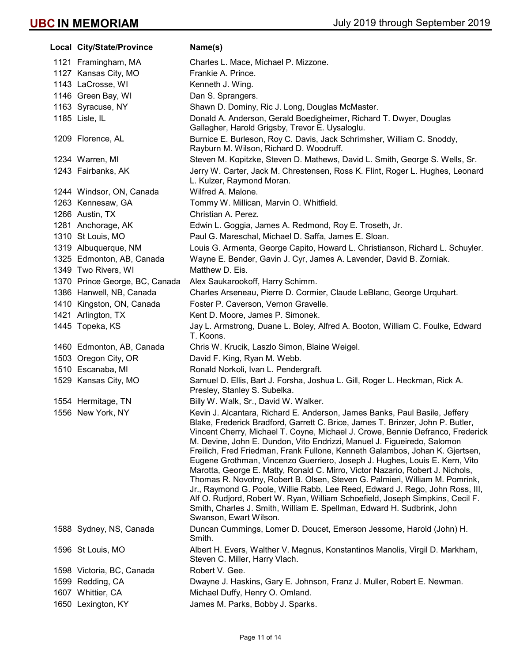| Local City/State/Province      | Name(s)                                                                                                                                                                                                                                                                                                                                                                                                                                                                                                                                                                                                                                                                                                                                                                                                                                                                                                                       |
|--------------------------------|-------------------------------------------------------------------------------------------------------------------------------------------------------------------------------------------------------------------------------------------------------------------------------------------------------------------------------------------------------------------------------------------------------------------------------------------------------------------------------------------------------------------------------------------------------------------------------------------------------------------------------------------------------------------------------------------------------------------------------------------------------------------------------------------------------------------------------------------------------------------------------------------------------------------------------|
| 1121 Framingham, MA            | Charles L. Mace, Michael P. Mizzone.                                                                                                                                                                                                                                                                                                                                                                                                                                                                                                                                                                                                                                                                                                                                                                                                                                                                                          |
| 1127 Kansas City, MO           | Frankie A. Prince.                                                                                                                                                                                                                                                                                                                                                                                                                                                                                                                                                                                                                                                                                                                                                                                                                                                                                                            |
| 1143 LaCrosse, WI              | Kenneth J. Wing.                                                                                                                                                                                                                                                                                                                                                                                                                                                                                                                                                                                                                                                                                                                                                                                                                                                                                                              |
| 1146 Green Bay, WI             | Dan S. Sprangers.                                                                                                                                                                                                                                                                                                                                                                                                                                                                                                                                                                                                                                                                                                                                                                                                                                                                                                             |
| 1163 Syracuse, NY              | Shawn D. Dominy, Ric J. Long, Douglas McMaster.                                                                                                                                                                                                                                                                                                                                                                                                                                                                                                                                                                                                                                                                                                                                                                                                                                                                               |
| 1185 Lisle, IL                 | Donald A. Anderson, Gerald Boedigheimer, Richard T. Dwyer, Douglas<br>Gallagher, Harold Grigsby, Trevor E. Uysaloglu.                                                                                                                                                                                                                                                                                                                                                                                                                                                                                                                                                                                                                                                                                                                                                                                                         |
| 1209 Florence, AL              | Burnice E. Burleson, Roy C. Davis, Jack Schrimsher, William C. Snoddy,<br>Rayburn M. Wilson, Richard D. Woodruff.                                                                                                                                                                                                                                                                                                                                                                                                                                                                                                                                                                                                                                                                                                                                                                                                             |
| 1234 Warren, MI                | Steven M. Kopitzke, Steven D. Mathews, David L. Smith, George S. Wells, Sr.                                                                                                                                                                                                                                                                                                                                                                                                                                                                                                                                                                                                                                                                                                                                                                                                                                                   |
| 1243 Fairbanks, AK             | Jerry W. Carter, Jack M. Chrestensen, Ross K. Flint, Roger L. Hughes, Leonard<br>L. Kulzer, Raymond Moran.                                                                                                                                                                                                                                                                                                                                                                                                                                                                                                                                                                                                                                                                                                                                                                                                                    |
| 1244 Windsor, ON, Canada       | Wilfred A. Malone.                                                                                                                                                                                                                                                                                                                                                                                                                                                                                                                                                                                                                                                                                                                                                                                                                                                                                                            |
| 1263 Kennesaw, GA              | Tommy W. Millican, Marvin O. Whitfield.                                                                                                                                                                                                                                                                                                                                                                                                                                                                                                                                                                                                                                                                                                                                                                                                                                                                                       |
| 1266 Austin, TX                | Christian A. Perez.                                                                                                                                                                                                                                                                                                                                                                                                                                                                                                                                                                                                                                                                                                                                                                                                                                                                                                           |
| 1281 Anchorage, AK             | Edwin L. Goggia, James A. Redmond, Roy E. Troseth, Jr.                                                                                                                                                                                                                                                                                                                                                                                                                                                                                                                                                                                                                                                                                                                                                                                                                                                                        |
| 1310 St Louis, MO              | Paul G. Mareschal, Michael D. Saffa, James E. Sloan.                                                                                                                                                                                                                                                                                                                                                                                                                                                                                                                                                                                                                                                                                                                                                                                                                                                                          |
| 1319 Albuquerque, NM           | Louis G. Armenta, George Capito, Howard L. Christianson, Richard L. Schuyler.                                                                                                                                                                                                                                                                                                                                                                                                                                                                                                                                                                                                                                                                                                                                                                                                                                                 |
| 1325 Edmonton, AB, Canada      | Wayne E. Bender, Gavin J. Cyr, James A. Lavender, David B. Zorniak.                                                                                                                                                                                                                                                                                                                                                                                                                                                                                                                                                                                                                                                                                                                                                                                                                                                           |
| 1349 Two Rivers, WI            | Matthew D. Eis.                                                                                                                                                                                                                                                                                                                                                                                                                                                                                                                                                                                                                                                                                                                                                                                                                                                                                                               |
| 1370 Prince George, BC, Canada | Alex Saukarookoff, Harry Schimm.                                                                                                                                                                                                                                                                                                                                                                                                                                                                                                                                                                                                                                                                                                                                                                                                                                                                                              |
| 1386 Hanwell, NB, Canada       | Charles Arseneau, Pierre D. Cormier, Claude LeBlanc, George Urquhart.                                                                                                                                                                                                                                                                                                                                                                                                                                                                                                                                                                                                                                                                                                                                                                                                                                                         |
| 1410 Kingston, ON, Canada      | Foster P. Caverson, Vernon Gravelle.                                                                                                                                                                                                                                                                                                                                                                                                                                                                                                                                                                                                                                                                                                                                                                                                                                                                                          |
| 1421 Arlington, TX             | Kent D. Moore, James P. Simonek.                                                                                                                                                                                                                                                                                                                                                                                                                                                                                                                                                                                                                                                                                                                                                                                                                                                                                              |
| 1445 Topeka, KS                | Jay L. Armstrong, Duane L. Boley, Alfred A. Booton, William C. Foulke, Edward<br>T. Koons.                                                                                                                                                                                                                                                                                                                                                                                                                                                                                                                                                                                                                                                                                                                                                                                                                                    |
| 1460 Edmonton, AB, Canada      | Chris W. Krucik, Laszlo Simon, Blaine Weigel.                                                                                                                                                                                                                                                                                                                                                                                                                                                                                                                                                                                                                                                                                                                                                                                                                                                                                 |
| 1503 Oregon City, OR           | David F. King, Ryan M. Webb.                                                                                                                                                                                                                                                                                                                                                                                                                                                                                                                                                                                                                                                                                                                                                                                                                                                                                                  |
| 1510 Escanaba, MI              | Ronald Norkoli, Ivan L. Pendergraft.                                                                                                                                                                                                                                                                                                                                                                                                                                                                                                                                                                                                                                                                                                                                                                                                                                                                                          |
| 1529 Kansas City, MO           | Samuel D. Ellis, Bart J. Forsha, Joshua L. Gill, Roger L. Heckman, Rick A.<br>Presley, Stanley S. Subelka.                                                                                                                                                                                                                                                                                                                                                                                                                                                                                                                                                                                                                                                                                                                                                                                                                    |
| 1554 Hermitage, TN             | Billy W. Walk, Sr., David W. Walker.                                                                                                                                                                                                                                                                                                                                                                                                                                                                                                                                                                                                                                                                                                                                                                                                                                                                                          |
| 1556 New York, NY              | Kevin J. Alcantara, Richard E. Anderson, James Banks, Paul Basile, Jeffery<br>Blake, Frederick Bradford, Garrett C. Brice, James T. Brinzer, John P. Butler,<br>Vincent Cherry, Michael T. Coyne, Michael J. Crowe, Bennie Defranco, Frederick<br>M. Devine, John E. Dundon, Vito Endrizzi, Manuel J. Figueiredo, Salomon<br>Freilich, Fred Friedman, Frank Fullone, Kenneth Galambos, Johan K. Gjertsen,<br>Eugene Grothman, Vincenzo Guerriero, Joseph J. Hughes, Louis E. Kern, Vito<br>Marotta, George E. Matty, Ronald C. Mirro, Victor Nazario, Robert J. Nichols,<br>Thomas R. Novotny, Robert B. Olsen, Steven G. Palmieri, William M. Pomrink,<br>Jr., Raymond G. Poole, Willie Rabb, Lee Reed, Edward J. Rego, John Ross, III,<br>Alf O. Rudjord, Robert W. Ryan, William Schoefield, Joseph Simpkins, Cecil F.<br>Smith, Charles J. Smith, William E. Spellman, Edward H. Sudbrink, John<br>Swanson, Ewart Wilson. |
| 1588 Sydney, NS, Canada        | Duncan Cummings, Lomer D. Doucet, Emerson Jessome, Harold (John) H.<br>Smith.                                                                                                                                                                                                                                                                                                                                                                                                                                                                                                                                                                                                                                                                                                                                                                                                                                                 |
| 1596 St Louis, MO              | Albert H. Evers, Walther V. Magnus, Konstantinos Manolis, Virgil D. Markham,<br>Steven C. Miller, Harry Vlach.                                                                                                                                                                                                                                                                                                                                                                                                                                                                                                                                                                                                                                                                                                                                                                                                                |
| 1598 Victoria, BC, Canada      | Robert V. Gee.                                                                                                                                                                                                                                                                                                                                                                                                                                                                                                                                                                                                                                                                                                                                                                                                                                                                                                                |
| 1599 Redding, CA               | Dwayne J. Haskins, Gary E. Johnson, Franz J. Muller, Robert E. Newman.                                                                                                                                                                                                                                                                                                                                                                                                                                                                                                                                                                                                                                                                                                                                                                                                                                                        |
| 1607 Whittier, CA              | Michael Duffy, Henry O. Omland.                                                                                                                                                                                                                                                                                                                                                                                                                                                                                                                                                                                                                                                                                                                                                                                                                                                                                               |
| 1650 Lexington, KY             | James M. Parks, Bobby J. Sparks.                                                                                                                                                                                                                                                                                                                                                                                                                                                                                                                                                                                                                                                                                                                                                                                                                                                                                              |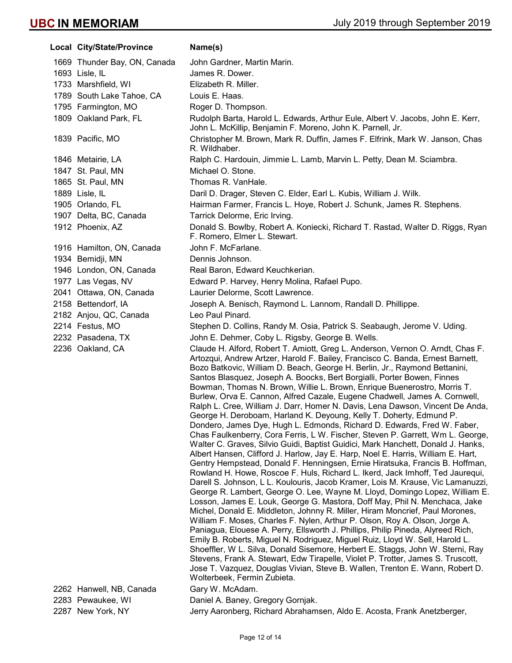Local City/State/Province Name(s) 1669 Thunder Bay, ON, Canada John Gardner, Martin Marin. 1693 Lisle, IL James R. Dower. 1733 Marshfield, WI Elizabeth R. Miller. 1789 South Lake Tahoe, CA Louis E. Haas. 1795 Farmington, MO Roger D. Thompson. 1809 Oakland Park, FL **Rudolph Barta, Harold L. Edwards, Arthur Eule, Albert V. Jacobs, John E. Kerr,** John L. McKillip, Benjamin F. Moreno, John K. Parnell, Jr. 1839 Pacific, MO Christopher M. Brown, Mark R. Duffin, James F. Elfrink, Mark W. Janson, Chas R. Wildhaber. 1846 Metairie, LA **Ralph C. Hardouin, Jimmie L. Lamb, Marvin L. Petty, Dean M. Sciambra.** 1847 St. Paul, MN Michael O. Stone. 1865 St. Paul, MN Thomas R. VanHale. 1889 Lisle, IL Daril D. Drager, Steven C. Elder, Earl L. Kubis, William J. Wilk. 1905 Orlando, FL **Hairman Farmer, Francis L. Hoye, Robert J. Schunk**, James R. Stephens. 1907 Delta, BC, Canada Tarrick Delorme, Eric Irving. 1912 Phoenix, AZ Donald S. Bowlby, Robert A. Koniecki, Richard T. Rastad, Walter D. Riggs, Ryan F. Romero, Elmer L. Stewart. 1916 Hamilton, ON, Canada John F. McFarlane. 1934 Bemidji, MN Dennis Johnson. 1946 London, ON, Canada Real Baron, Edward Keuchkerian. 1977 Las Vegas, NV Edward P. Harvey, Henry Molina, Rafael Pupo. 2041 Ottawa, ON, Canada Laurier Delorme, Scott Lawrence. 2158 Bettendorf, IA Joseph A. Benisch, Raymond L. Lannom, Randall D. Phillippe. 2182 Anjou, QC, Canada Leo Paul Pinard. 2214 Festus, MO Stephen D. Collins, Randy M. Osia, Patrick S. Seabaugh, Jerome V. Uding. 2232 Pasadena, TX John E. Dehmer, Coby L. Rigsby, George B. Wells. 2236 Oakland, CA Claude H. Alford, Robert T. Amiott, Greg L. Anderson, Vernon O. Arndt, Chas F. Artozqui, Andrew Artzer, Harold F. Bailey, Francisco C. Banda, Ernest Barnett, Bozo Batkovic, William D. Beach, George H. Berlin, Jr., Raymond Bettanini, Santos Blasquez, Joseph A. Boocks, Bert Borgialli, Porter Bowen, Finnes Bowman, Thomas N. Brown, Willie L. Brown, Enrique Buenerostro, Morris T. Burlew, Orva E. Cannon, Alfred Cazale, Eugene Chadwell, James A. Cornwell, Ralph L. Cree, William J. Darr, Homer N. Davis, Lena Dawson, Vincent De Anda, George H. Deroboam, Harland K. Deyoung, Kelly T. Doherty, Edmund P. Dondero, James Dye, Hugh L. Edmonds, Richard D. Edwards, Fred W. Faber, Chas Faulkenberry, Cora Ferris, L W. Fischer, Steven P. Garrett, Wm L. George, Walter C. Graves, Silvio Guidi, Baptist Guidici, Mark Hanchett, Donald J. Hanks, Albert Hansen, Clifford J. Harlow, Jay E. Harp, Noel E. Harris, William E. Hart, Gentry Hempstead, Donald F. Henningsen, Ernie Hiratsuka, Francis B. Hoffman, Rowland H. Howe, Roscoe F. Huls, Richard L. Ikerd, Jack Imhoff, Ted Jaurequi, Darell S. Johnson, L L. Koulouris, Jacob Kramer, Lois M. Krause, Vic Lamanuzzi, George R. Lambert, George O. Lee, Wayne M. Lloyd, Domingo Lopez, William E. Losson, James E. Louk, George G. Mastora, Doff May, Phil N. Menchaca, Jake Michel, Donald E. Middleton, Johnny R. Miller, Hiram Moncrief, Paul Morones, William F. Moses, Charles F. Nylen, Arthur P. Olson, Roy A. Olson, Jorge A. Paniagua, Elouese A. Perry, Ellsworth J. Phillips, Philip Pineda, Alyreed Rich, Emily B. Roberts, Miguel N. Rodriguez, Miguel Ruiz, Lloyd W. Sell, Harold L. Shoeffler, W L. Silva, Donald Sisemore, Herbert E. Staggs, John W. Sterni, Ray Stevens, Frank A. Stewart, Edw Tirapelle, Violet P. Trotter, James S. Truscott, Jose T. Vazquez, Douglas Vivian, Steve B. Wallen, Trenton E. Wann, Robert D. Wolterbeek, Fermin Zubieta. 2262 Hanwell, NB, Canada Gary W. McAdam. 2283 Pewaukee, WI Daniel A. Baney, Gregory Gornjak.

2287 New York, NY Jerry Aaronberg, Richard Abrahamsen, Aldo E. Acosta, Frank Anetzberger,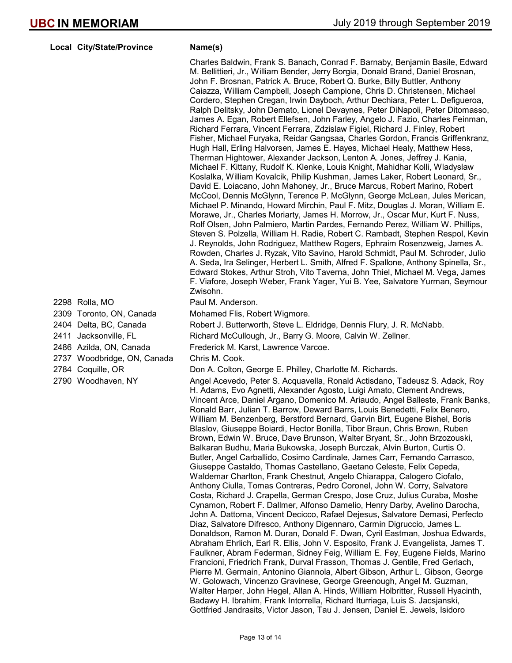### Local City/State/Province Name(s)

Charles Baldwin, Frank S. Banach, Conrad F. Barnaby, Benjamin Basile, Edward M. Bellittieri, Jr., William Bender, Jerry Borgia, Donald Brand, Daniel Brosnan, John F. Brosnan, Patrick A. Bruce, Robert Q. Burke, Billy Buttler, Anthony Caiazza, William Campbell, Joseph Campione, Chris D. Christensen, Michael Cordero, Stephen Cregan, Irwin Dayboch, Arthur Dechiara, Peter L. Defigueroa, Ralph Delitsky, John Demato, Lionel Devaynes, Peter DiNapoli, Peter Ditomasso, James A. Egan, Robert Ellefsen, John Farley, Angelo J. Fazio, Charles Feinman, Richard Ferrara, Vincent Ferrara, Zdzislaw Figiel, Richard J. Finley, Robert Fisher, Michael Furyaka, Reidar Gangsaa, Charles Gordon, Francis Griffenkranz, Hugh Hall, Erling Halvorsen, James E. Hayes, Michael Healy, Matthew Hess, Therman Hightower, Alexander Jackson, Lenton A. Jones, Jeffrey J. Kania, Michael F. Kittany, Rudolf K. Klenke, Louis Knight, Mahidhar Kolli, Wladyslaw Koslalka, William Kovalcik, Philip Kushman, James Laker, Robert Leonard, Sr., David E. Loiacano, John Mahoney, Jr., Bruce Marcus, Robert Marino, Robert McCool, Dennis McGlynn, Terence P. McGlynn, George McLean, Jules Merican, Michael P. Minando, Howard Mirchin, Paul F. Mitz, Douglas J. Moran, William E. Morawe, Jr., Charles Moriarty, James H. Morrow, Jr., Oscar Mur, Kurt F. Nuss, Rolf Olsen, John Palmiero, Martin Pardes, Fernando Perez, William W. Phillips, Steven S. Polzella, William H. Radie, Robert C. Rambadt, Stephen Respol, Kevin J. Reynolds, John Rodriguez, Matthew Rogers, Ephraim Rosenzweig, James A. Rowden, Charles J. Ryzak, Vito Savino, Harold Schmidt, Paul M. Schroder, Julio A. Seda, Ira Selinger, Herbert L. Smith, Alfred F. Spallone, Anthony Spinella, Sr., Edward Stokes, Arthur Stroh, Vito Taverna, John Thiel, Michael M. Vega, James F. Viafore, Joseph Weber, Frank Yager, Yui B. Yee, Salvatore Yurman, Seymour Zwisohn.

## 2298 Rolla, MO **Paul M. Anderson.**

2309 Toronto, ON, Canada Mohamed Flis, Robert Wigmore.

2404 Delta, BC, Canada Robert J. Butterworth, Steve L. Eldridge, Dennis Flury, J. R. McNabb.

2411 Jacksonville, FL Richard McCullough, Jr., Barry G. Moore, Calvin W. Zellner.

2486 Azilda, ON, Canada Frederick M. Karst, Lawrence Varcoe.

## 2737 Woodbridge, ON, Canada Chris M. Cook.

2784 Coquille, OR **Don A. Colton, George E. Philley, Charlotte M. Richards.** 

2790 Woodhaven, NY Angel Acevedo, Peter S. Acquavella, Ronald Actisdano, Tadeusz S. Adack, Roy H. Adams, Evo Agnetti, Alexander Agosto, Luigi Amato, Clement Andrews, Vincent Arce, Daniel Argano, Domenico M. Ariaudo, Angel Balleste, Frank Banks, Ronald Barr, Julian T. Barrow, Deward Barrs, Louis Benedetti, Felix Benero, William M. Benzenberg, Berstford Bernard, Garvin Birt, Eugene Bishel, Boris Blaslov, Giuseppe Boiardi, Hector Bonilla, Tibor Braun, Chris Brown, Ruben Brown, Edwin W. Bruce, Dave Brunson, Walter Bryant, Sr., John Brzozouski, Balkaran Budhu, Maria Bukowska, Joseph Burczak, Alvin Burton, Curtis O. Butler, Angel Carballido, Cosimo Cardinale, James Carr, Fernando Carrasco, Giuseppe Castaldo, Thomas Castellano, Gaetano Celeste, Felix Cepeda, Waldemar Charlton, Frank Chestnut, Angelo Chiarappa, Calogero Ciofalo, Anthony Ciulla, Tomas Contreras, Pedro Coronel, John W. Corry, Salvatore Costa, Richard J. Crapella, German Crespo, Jose Cruz, Julius Curaba, Moshe Cynamon, Robert F. Dallmer, Alfonso Damelio, Henry Darby, Avelino Darocha, John A. Dattoma, Vincent Decicco, Rafael Dejesus, Salvatore Demasi, Perfecto Diaz, Salvatore Difresco, Anthony Digennaro, Carmin Digruccio, James L. Donaldson, Ramon M. Duran, Donald F. Dwan, Cyril Eastman, Joshua Edwards, Abraham Ehrlich, Earl R. Ellis, John V. Esposito, Frank J. Evangelista, James T. Faulkner, Abram Federman, Sidney Feig, William E. Fey, Eugene Fields, Marino Francioni, Friedrich Frank, Durval Frasson, Thomas J. Gentile, Fred Gerlach, Pierre M. Germain, Antonino Giannola, Albert Gibson, Arthur L. Gibson, George W. Golowach, Vincenzo Gravinese, George Greenough, Angel M. Guzman, Walter Harper, John Hegel, Allan A. Hinds, William Holbritter, Russell Hyacinth, Badawy H. Ibrahim, Frank Intorrella, Richard Iturriaga, Luis S. Jacsjanski, Gottfried Jandrasits, Victor Jason, Tau J. Jensen, Daniel E. Jewels, Isidoro